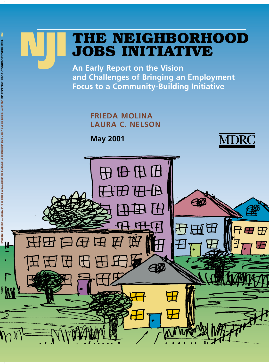# **THE NEIGHBORHOOD JOBS INITIATIVE <sup>N</sup>J<sup>I</sup>**

**An Early Report on the Vision and Challenges of Bringing an Employment Focus to a Community-Building Initiative**

> **FRIEDA MOLINA LAURA C. NELSON**

**May 2001**



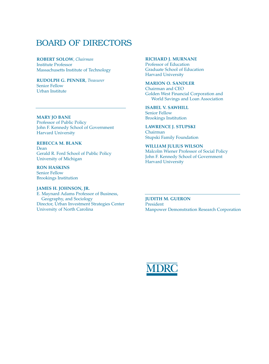# BOARD OF DIRECTORS

**ROBERT SOLOW**, *Chairman* Institute Professor Massachusetts Institute of Technology

#### **RUDOLPH G. PENNER**, *Treasurer* Senior Fellow Urban Institute

#### **MARY JO BANE** Professor of Public Policy

John F. Kennedy School of Government Harvard University

#### **REBECCA M. BLANK** Dean Gerald R. Ford School of Public Policy University of Michigan

**RON HASKINS** Senior Fellow Brookings Institution

#### **JAMES H. JOHNSON, JR.**

E. Maynard Adams Professor of Business, Geography, and Sociology Director, Urban Investment Strategies Center University of North Carolina

#### **RICHARD J. MURNANE**

Professor of Education Graduate School of Education Harvard University

#### **MARION O. SANDLER** Chairman and CEO Golden West Financial Corporation and World Savings and Loan Association

**ISABEL V. SAWHILL** Senior Fellow Brookings Institution

### **LAWRENCE J. STUPSKI**

Chairman Stupski Family Foundation

#### **WILLIAM JULIUS WILSON**

Malcolm Wiener Professor of Social Policy John F. Kennedy School of Government Harvard University

#### **JUDITH M. GUERON** President Manpower Demonstration Research Corporation

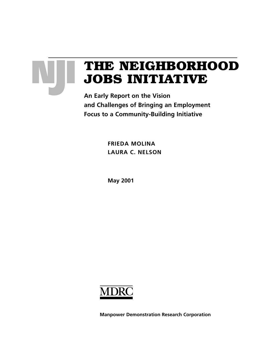

# **THE NEIGHBORHOOD JOBS INITIATIVE**

**An Early Report on the Vision and Challenges of Bringing an Employment Focus to a Community-Building Initiative**

> **FRIEDA MOLINA LAURA C. NELSON**

**May 2001**



**Manpower Demonstration Research Corporation**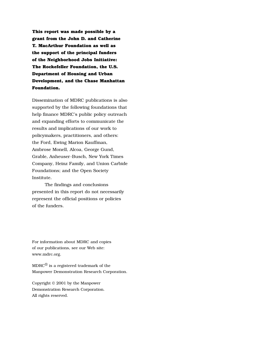**This report was made possible by a grant from the John D. and Catherine T. MacArthur Foundation as well as the support of the principal funders of the Neighborhood Jobs Initiative: The Rockefeller Foundation, the U.S. Department of Housing and Urban Development, and the Chase Manhattan Foundation.**

Dissemination of MDRC publications is also supported by the following foundations that help finance MDRC's public policy outreach and expanding efforts to communicate the results and implications of our work to policymakers, practitioners, and others: the Ford, Ewing Marion Kauffman, Ambrose Monell, Alcoa, George Gund, Grable, Anheuser-Busch, New York Times Company, Heinz Family, and Union Carbide Foundations; and the Open Society Institute.

The findings and conclusions presented in this report do not necessarily represent the official positions or policies of the funders.

For information about MDRC and copies of our publications, see our Web site: www.mdrc.org.

 $MDRC^{\circledR}$  is a registered trademark of the Manpower Demonstration Research Corporation.

Copyright © 2001 by the Manpower Demonstration Research Corporation. All rights reserved.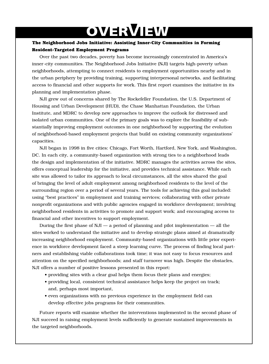# **OVERVIEW**

### **The Neighborhood Jobs Initiative: Assisting Inner-City Communities in Forming Resident-Targeted Employment Programs**

Over the past two decades, poverty has become increasingly concentrated in America's inner-city communities. The Neighborhood Jobs Initiative (NJI) targets high-poverty urban neighborhoods, attempting to connect residents to employment opportunities nearby and in the urban periphery by providing training, supporting interpersonal networks, and facilitating access to financial and other supports for work. This first report examines the initiative in its planning and implementation phase.

NJI grew out of concerns shared by The Rockefeller Foundation, the U.S. Department of Housing and Urban Development (HUD), the Chase Manhattan Foundation, the Urban Institute, and MDRC to develop new approaches to improve the outlook for distressed and isolated urban communities. One of the primary goals was to explore the feasibility of substantially improving employment outcomes in one neighborhood by supporting the evolution of neighborhood-based employment projects that build on existing community organizations' capacities.

NJI began in 1998 in five cities: Chicago, Fort Worth, Hartford, New York, and Washington, DC. In each city, a community-based organization with strong ties to a neighborhood leads the design and implementation of the initiative. MDRC manages the activities across the sites, offers conceptual leadership for the initiative, and provides technical assistance. While each site was allowed to tailor its approach to local circumstances, all the sites shared the goal of bringing the level of adult employment among neighborhood residents to the level of the surrounding region over a period of several years. The tools for achieving this goal included: using "best practices" in employment and training services; collaborating with other private nonprofit organizations and with public agencies engaged in workforce development; involving neighborhood residents in activities to promote and support work; and encouraging access to financial and other incentives to support employment.

During the first phase of NJI — a period of planning and pilot implementation — all the sites worked to understand the initiative and to develop strategic plans aimed at dramatically increasing neighborhood employment. Community-based organizations with little prior experience in workforce development faced a steep learning curve. The process of finding local partners and establishing viable collaborations took time; it was not easy to focus resources and attention on the specified neighborhoods; and staff turnover was high. Despite the obstacles, NJI offers a number of positive lessons presented in this report:

- providing sites with a clear goal helps them focus their plans and energies;
- providing local, consistent technical assistance helps keep the project on track; and, perhaps most important,
- even organizations with no previous experience in the employment field can develop effective jobs programs for their communities.

Future reports will examine whether the interventions implemented in the second phase of NJI succeed in raising employment levels sufficiently to generate sustained improvements in the targeted neighborhoods.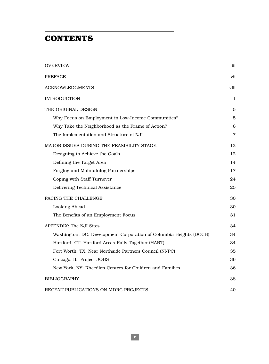# **CONTENTS**

| <b>OVERVIEW</b>                                                    | iii            |
|--------------------------------------------------------------------|----------------|
| PREFACE                                                            | vii            |
| <b>ACKNOWLEDGMENTS</b>                                             | viii           |
| <b>INTRODUCTION</b>                                                | 1              |
| THE ORIGINAL DESIGN                                                | 5              |
| Why Focus on Employment in Low-Income Communities?                 | $\overline{5}$ |
| Why Take the Neighborhood as the Frame of Action?                  | 6              |
| The Implementation and Structure of NJI                            | 7              |
| <b>MAJOR ISSUES DURING THE FEASIBILITY STAGE</b>                   | 12             |
| Designing to Achieve the Goals                                     | 12             |
| Defining the Target Area                                           | 14             |
| Forging and Maintaining Partnerships                               | 17             |
| Coping with Staff Turnover                                         | 24             |
| Delivering Technical Assistance                                    | 25             |
| FACING THE CHALLENGE                                               | 30             |
| Looking Ahead                                                      | 30             |
| The Benefits of an Employment Focus                                | 31             |
| <b>APPENDIX: The NJI Sites</b>                                     | 34             |
| Washington, DC: Development Corporation of Columbia Heights (DCCH) | 34             |
| Hartford, CT: Hartford Areas Rally Together (HART)                 | 34             |
| Fort Worth, TX: Near Northside Partners Council (NNPC)             | 35             |
| Chicago, IL: Project JOBS                                          | 36             |
| New York, NY: Rheedlen Centers for Children and Families           | 36             |
| <b>BIBLIOGRAPHY</b>                                                | 38             |
| RECENT PUBLICATIONS ON MDRC PROJECTS                               | 40             |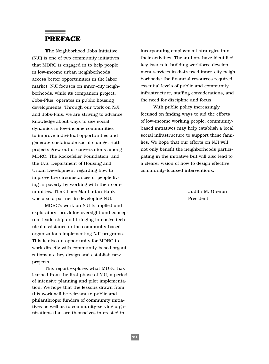# **PREFACE**

**T**he Neighborhood Jobs Initiative (NJI) is one of two community initiatives that MDRC is engaged in to help people in low-income urban neighborhoods access better opportunities in the labor market. NJI focuses on inner-city neighborhoods, while its companion project, Jobs-Plus, operates in public housing developments. Through our work on NJI and Jobs-Plus, we are striving to advance knowledge about ways to use social dynamics in low-income communities to improve individual opportunities and generate sustainable social change. Both projects grew out of conversations among MDRC, The Rockefeller Foundation, and the U.S. Department of Housing and Urban Development regarding how to improve the circumstances of people living in poverty by working with their communities. The Chase Manhattan Bank was also a partner in developing NJI.

MDRC's work on NJI is applied and exploratory, providing oversight and conceptual leadership and bringing intensive technical assistance to the community-based organizations implementing NJI programs. This is also an opportunity for MDRC to work directly with community-based organizations as they design and establish new projects.

This report explores what MDRC has learned from the first phase of NJI, a period of intensive planning and pilot implementation. We hope that the lessons drawn from this work will be relevant to public and philanthropic funders of community initiatives as well as to community-serving organizations that are themselves interested in

incorporating employment strategies into their activities. The authors have identified key issues in building workforce development services in distressed inner-city neighborhoods: the financial resources required, essential levels of public and community infrastructure, staffing considerations, and the need for discipline and focus.

With public policy increasingly focused on finding ways to aid the efforts of low-income working people, communitybased initiatives may help establish a local social infrastructure to support these families. We hope that our efforts on NJI will not only benefit the neighborhoods participating in the initiative but will also lead to a clearer vision of how to design effective community-focused interventions.

> Judith M. Gueron President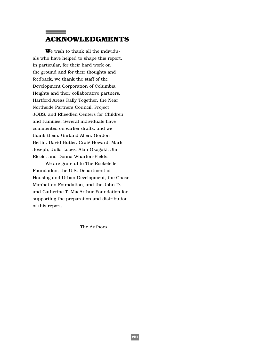# **ACKNOWLEDGMENTS**

**W**e wish to thank all the individuals who have helped to shape this report. In particular, for their hard work on the ground and for their thoughts and feedback, we thank the staff of the Development Corporation of Columbia Heights and their collaborative partners, Hartford Areas Rally Together, the Near Northside Partners Council, Project JOBS, and Rheedlen Centers for Children and Families. Several individuals have commented on earlier drafts, and we thank them: Garland Allen, Gordon Berlin, David Butler, Craig Howard, Mark Joseph, Julia Lopez, Alan Okagaki, Jim Riccio, and Donna Wharton-Fields.

We are grateful to The Rockefeller Foundation, the U.S. Department of Housing and Urban Development, the Chase Manhattan Foundation, and the John D. and Catherine T. MacArthur Foundation for supporting the preparation and distribution of this report.

The Authors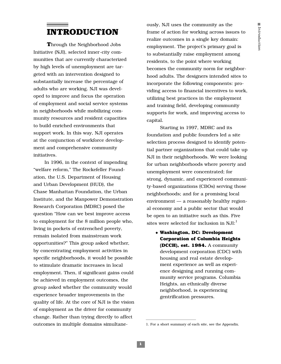# **INTRODUCTION**

**T**hrough the Neighborhood Jobs Initiative (NJI), selected inner-city communities that are currently characterized by high levels of unemployment are targeted with an intervention designed to substantially increase the percentage of adults who are working. NJI was developed to improve and focus the operation of employment and social service systems in neighborhoods while mobilizing community resources and resident capacities to build enriched environments that support work. In this way, NJI operates at the conjunction of workforce development and comprehensive community initiatives.

In 1996, in the context of impending "welfare reform," The Rockefeller Foundation, the U.S. Department of Housing and Urban Development (HUD), the Chase Manhattan Foundation, the Urban Institute, and the Manpower Demonstration Research Corporation (MDRC) posed the question "How can we best improve access to employment for the 8 million people who, living in pockets of entrenched poverty, remain isolated from mainstream work opportunities?" This group asked whether, by concentrating employment activities in specific neighborhoods, it would be possible to stimulate dramatic increases in local employment. Then, if significant gains could be achieved in employment outcomes, the group asked whether the community would experience broader improvements in the quality of life. At the core of NJI is the vision of employment as the driver for community change. Rather than trying directly to affect outcomes in multiple domains simultaneously, NJI uses the community as the frame of action for working across issues to realize outcomes in a single key domain: employment. The project's primary goal is to substantially raise employment among residents, to the point where working becomes the community norm for neighborhood adults. The designers intended sites to incorporate the following components: providing access to financial incentives to work, utilizing best practices in the employment and training field, developing community supports for work, and improving access to capital.

Starting in 1997, MDRC and its foundation and public founders led a site selection process designed to identify potential partner organizations that could take up NJI in their neighborhoods. We were looking for urban neighborhoods where poverty and unemployment were concentrated; for strong, dynamic, and experienced community-based organizations (CBOs) serving those neighborhoods; and for a promising local environment — a reasonably healthy regional economy and a public sector that would be open to an initiative such as this. Five sites were selected for inclusion in  $NJI:$ <sup>1</sup>

◆ **Washington, DC: Development Corporation of Columbia Heights (DCCH), est. 1984.** A community development corporation (CDC) with housing and real estate development experience as well as experience designing and running community service programs. Columbia Heights, an ethnically diverse neighborhood, is experiencing gentrification pressures.

<sup>1.</sup> For a short summary of each site, see the Appendix.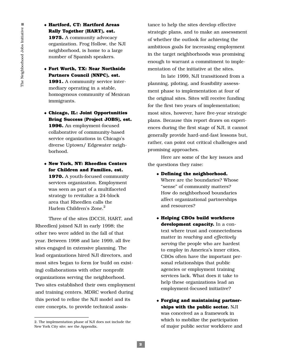◆ **Hartford, CT: Hartford Areas Rally Together (HART), est. 1975.** A community advocacy organization. Frog Hollow, the NJI neighborhood, is home to a large number of Spanish speakers.

- ◆ **Fort Worth, TX: Near Northside Partners Council (NNPC), est. 1991.** A community service intermediary operating in a stable, homogenous community of Mexican immigrants.
- ◆ **Chicago, IL: Joint Opportunities Bring Success (Project JOBS), est. 1996.** An employment-focused collaborative of community-based service organizations in Chicago's diverse Uptown/ Edgewater neighborhood.
- ◆ **New York, NY: Rheedlen Centers for Children and Families, est. 1970.** A youth-focused community services organization. Employment was seen as part of a multifaceted strategy to revitalize a 24-block area that Rheedlen calls the Harlem Children's  $Z$ one. $2$

Three of the sites (DCCH, HART, and Rheedlen) joined NJI in early 1998; the other two were added in the fall of that year. Between 1998 and late 1999, all five sites engaged in extensive planning. The lead organizations hired NJI directors, and most sites began to form (or build on existing) collaborations with other nonprofit organizations serving the neighborhood. Two sites established their own employment and training centers. MDRC worked during this period to refine the NJI model and its core concepts, to provide technical assis-

tance to help the sites develop effective strategic plans, and to make an assessment of whether the outlook for achieving the ambitious goals for increasing employment in the target neighborhoods was promising enough to warrant a commitment to implementation of the initiative at the sites.

In late 1999, NJI transitioned from a planning, piloting, and feasibility assessment phase to implementation at four of the original sites. Sites will receive funding for the first two years of implementation; most sites, however, have five-year strategic plans. Because this report draws on experiences during the first stage of NJI, it cannot generally provide hard-and-fast lessons but, rather, can point out critical challenges and promising approaches.

Here are some of the key issues and the questions they raise:

- ◆ **Defining the neighborhood.** Where are the boundaries? Whose "sense" of community matters? How do neighborhood boundaries affect organizational partnerships and resources?
- ◆ **Helping CBOs build workforce development capacity.** In a context where trust and connectedness matter in *reaching* and *effectively serving* the people who are hardest to employ in America's inner cities, CBOs often have the important personal relationships that public agencies or employment training services lack. What does it take to help these organizations lead an employment-focused initiative?
- ◆ **Forging and maintaining partnerships with the public sector.** NJI was conceived as a framework in which to mobilize the participation of major public sector workforce and

<sup>2.</sup> The implementation phase of NJI does not include the New York City site; see the Appendix.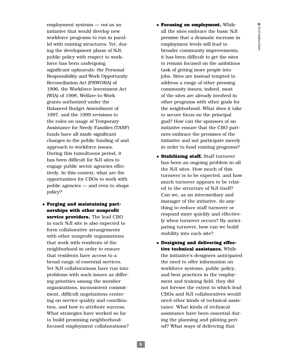employment systems — *not* as an initiative that would develop new workforce programs to run in parallel with existing structures. Yet, during the development phase of NJI, public policy with respect to workforce has been undergoing significant upheavals: the Personal Responsibility and Work Opportunity Reconciliation Act (PRWORA) of 1996, the Workforce Investment Act (WIA) of 1998, Welfare-to-Work grants authorized under the Balanced Budget Amendment of 1997, and the 1999 revisions to the rules on usage of Temporary Assistance for Needy Families (TANF) funds have all made significant changes in the public funding of and approach to workforce issues. During this tumultuous period, it has been difficult for NJI sites to engage public sector agencies effectively. In this context, what are the opportunities for CBOs to work with public agencies — and even to shape policy?

◆ **Forging and maintaining partnerships with other nonprofit service providers.** The lead CBO in each NJI site is also expected to form collaborative arrangements with other nonprofit organizations that work with residents of the neighborhood in order to ensure that residents have access to a broad range of essential services. Yet NJI collaborations have run into problems with such issues as differing priorities among the member organizations, inconsistent commitment, difficult negotiations centering on service quality and coordination, and how to attribute success. What strategies have worked so far to build promising neighborhoodfocused employment collaborations?

- ◆ **Focusing on employment.** While all the sites embrace the basic NJI premise that a dramatic increase in employment levels will lead to broader community improvements, it has been difficult to get the sites to remain focused on the ambitious task of getting more people into jobs. Sites are instead tempted to address a range of other pressing community issues; indeed, most of the sites are already involved in other programs with other goals for the neighborhood. What does it take to secure focus on the principal goal? How can the sponsors of an initiative ensure that the CBO partners embrace the premises of the initiative and not participate merely in order to fund existing programs?
- ◆ **Stabilizing staff.** Staff turnover has been an ongoing problem in all the NJI sites. How much of this turnover is to be expected, and how much turnover appears to be related to the structure of NJI itself? Can we, as an intermediary and manager of the initiative, do anything to reduce staff turnover or respond more quickly and effectively when turnover occurs? By anticipating turnover, how can we build stability into each site?
- ◆ **Designing and delivering effective technical assistance.** While the initiative's designers anticipated the need to offer information on workforce systems, public policy, and best practices in the employment and training field, they did not foresee the extent to which lead CBOs and NJI collaboratives would need other kinds of technical assistance. What kinds of technical assistance have been essential during the planning and piloting period? What ways of delivering that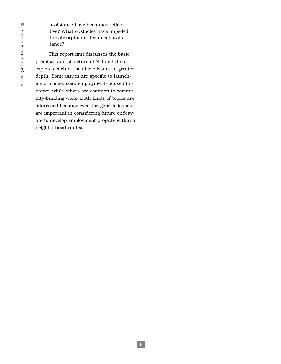assistance have been most effective? What obstacles have impeded the absorption of technical assistance?

This report first discusses the basic premises and structure of NJI and then explores each of the above issues in greater depth. Some issues are specific to launching a place-based, employment-focused initiative, while others are common to community-building work. Both kinds of topics are addressed because even the generic issues are important in considering future endeavors to develop employment projects within a neighborhood context.

**4**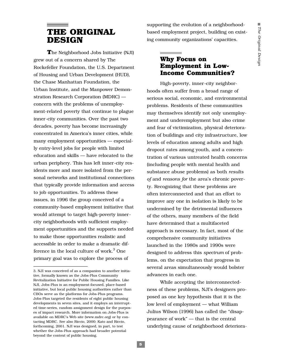# **THE ORIGINAL DESIGN**

**T**he Neighborhood Jobs Initiative (NJI) grew out of a concern shared by The Rockefeller Foundation, the U.S. Department of Housing and Urban Development (HUD), the Chase Manhattan Foundation, the Urban Institute, and the Manpower Demonstration Research Corporation (MDRC) concern with the problems of unemployment-related poverty that continue to plague inner-city communities. Over the past two decades, poverty has become increasingly concentrated in America's inner cities, while many employment opportunities — especially entry-level jobs for people with limited education and skills — have relocated to the urban periphery. This has left inner-city residents more and more isolated from the personal networks and institutional connections that typically provide information and access to job opportunities. To address these issues, in 1996 the group conceived of a community-based employment initiative that would attempt to target high-poverty innercity neighborhoods with sufficient employment opportunities and the supports needed to make those opportunities realistic and accessible in order to make a dramatic difference in the local culture of work.<sup>3</sup> One primary goal was to explore the process of

supporting the evolution of a neighborhoodbased employment project, building on existing community organizations' capacities.

# **Why Focus on Employment in Low-Income Communities?**

High-poverty, inner-city neighborhoods often suffer from a broad range of serious social, economic, and environmental problems. Residents of these communities may themselves identify not only unemployment and underemployment but also crime and fear of victimization, physical deterioration of buildings and city infrastructure, low levels of education among adults and high dropout rates among youth, and a concentration of various untreated health concerns (including people with mental health and substance abuse problems) as both *results of* and *reasons for* the area's chronic poverty. Recognizing that these problems are often interconnected and that an effort to improve any one in isolation is likely to be undermined by the detrimental influences of the others, many members of the field have determined that a multifaceted approach is necessary. In fact, most of the comprehensive community initiatives launched in the 1980s and 1990s were designed to address this *spectrum* of problems, on the expectation that progress in several areas simultaneously would bolster advances in each one.

While accepting the interconnectedness of these problems, NJI's designers proposed as one key hypothesis that it is the low level of employment — what William Julius Wilson (1996) has called the "disappearance of work" — that is the central underlying cause of neighborhood deteriora-

<sup>3.</sup> NJI was conceived of as a companion to another initiative, formally known as the Jobs-Plus Community Revitalization Initiative for Public Housing Families. Like NJI, Jobs-Plus is an employment-focused, place-based initiative, but local public housing authorities rather than CBOs serve as the platforms for Jobs-Plus programs. Jobs-Plus targeted the residents of eight public housing developments in seven sites, and it employs an interrupted time-series, random assignment design for the purposes of impact research. More information on Jobs-Plus is available on MDRC's Web site (www.mdrc.org) or by contacting MDRC. See also Riccio, 2000; Kato and Riccio, forthcoming, 2001. NJI was designed, in part, to test whether the Jobs-Plus approach had broader potential beyond the context of public housing.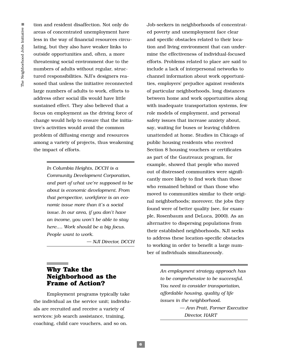tion and resident disaffection. Not only do areas of concentrated unemployment have less in the way of financial resources circulating, but they also have weaker links to outside opportunities and, often, a more threatening social environment due to the numbers of adults without regular, structured responsibilities. NJI's designers reasoned that unless the initiative reconnected large numbers of adults to work, efforts to address other social ills would have little sustained effect. They also believed that a focus on employment as the driving force of change would help to ensure that the initiative's activities would avoid the common problem of diffusing energy and resources among a variety of projects, thus weakening the impact of efforts.

> *In Columbia Heights, DCCH is a Community Development Corporation, and part of what we're supposed to be about is economic development. From that perspective, workforce is an economic issue more than it's a social issue. In our area, if you don't have an income, you won't be able to stay here…. Work should be a big focus. People want to work.*

> > *— NJI Director, DCCH*

# **Why Take the Neighborhood as the Frame of Action?**

Employment programs typically take the individual as the service unit; individuals are recruited and receive a variety of services: job search assistance, training, coaching, child care vouchers, and so on.

Job-seekers in neighborhoods of concentrated poverty and unemployment face clear and specific obstacles related to their location and living environment that can undermine the effectiveness of individual-focused efforts. Problems related to place are said to include a lack of interpersonal networks to channel information about work opportunities, employers' prejudice against residents of particular neighborhoods, long distances between home and work opportunities along with inadequate transportation systems, few role models of employment, and personal safety issues that increase anxiety about, say, waiting for buses or leaving children unattended at home. Studies in Chicago of public housing residents who received Section 8 housing vouchers or certificates as part of the Gautreaux program, for example, showed that people who moved out of distressed communities were significantly more likely to find work than those who remained behind or than those who moved to communities similar to their original neighborhoods; moreover, the jobs they found were of better quality (see, for example, Rosenbaum and DeLuca, 2000). As an alternative to dispersing populations from their established neighborhoods, NJI seeks to address these location-specific obstacles to working in order to benefit a large number of individuals simultaneously.

> *An employment strategy approach has to be comprehensive to be successful. You need to consider transportation, affordable housing, quality of life issues in the neighborhood.*

> > *— Ann Pratt, Former Executive Director, HART*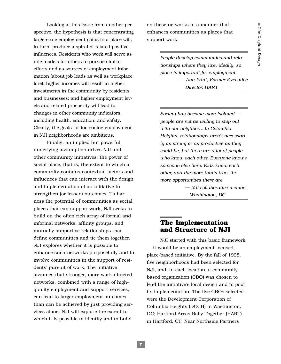Looking at this issue from another perspective, the hypothesis is that concentrating large-scale employment gains in a place will, in turn, produce a spiral of related positive influences. Residents who work will serve as role models for others to pursue similar efforts and as sources of employment information (about job leads as well as workplace lore); higher incomes will result in higher investments in the community by residents and businesses; and higher employment levels and related prosperity will lead to changes in other community indicators, including health, education, and safety. Clearly, the goals for increasing employment in NJI neighborhoods are ambitious.

Finally, an implied but powerful underlying assumption drives NJI and other community initiatives: the power of social place, that is, the extent to which a community contains contextual factors and influences that can interact with the design and implementation of an initiative to strengthen (or lessen) outcomes. To harness the potential of communities as social places that can support work, NJI seeks to build on the often rich array of formal and informal networks, affinity groups, and mutually supportive relationships that define communities and tie them together. NJI explores whether it is possible to enhance such networks purposefully and to involve communities in the support of residents' pursuit of work. The initiative assumes that stronger, more work-directed networks, combined with a range of highquality employment and support services, can lead to larger employment outcomes than can be achieved by just providing services alone. NJI will explore the extent to which it is possible to identify and to build

on these networks in a manner that enhances communities as places that support work.

> *People develop communities and relationships where they live, ideally, so place is important for employment. — Ann Pratt, Former Executive Director, HART*

> *Society has become more isolated people are not as willing to step out with our neighbors. In Columbia Heights, relationships aren't necessarily as strong or as productive as they could be, but there are a lot of people who know each other. Everyone knows someone else here. Kids know each other, and the more that's true, the more opportunities there are.*

> > *— NJI collaborative member, Washington, DC*

# **The Implementation and Structure of NJI**

NJI started with this basic framework — it would be an employment-focused, place-based initiative. By the fall of 1998, five neighborhoods had been selected for NJI, and, in each location, a communitybased organization (CBO) was chosen to lead the initiative's local design and to pilot its implementation. The five CBOs selected were the Development Corporation of Columbia Heights (DCCH) in Washington, DC; Hartford Areas Rally Together (HART) in Hartford, CT; Near Northside Partners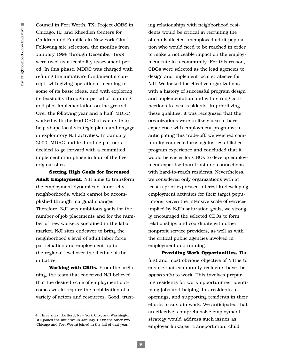Council in Fort Worth, TX; Project JOBS in Chicago, IL; and Rheedlen Centers for Children and Families in New York City.<sup>4</sup> Following site selection, the months from January 1998 through December 1999 were used as a feasibility assessment period. In this phase, MDRC was charged with refining the initiative's fundamental concept, with giving operational meaning to some of its basic ideas, and with exploring its feasibility through a period of planning and pilot implementation on the ground. Over the following year and a half, MDRC worked with the lead CBO at each site to help shape local strategic plans and engage in exploratory NJI activities. In January 2000, MDRC and its funding partners decided to go forward with a committed implementation phase in four of the five original sites.

**Setting High Goals for Increased Adult Employment.** NJI aims to transform the employment dynamics of inner-city neighborhoods, which cannot be accomplished through marginal changes. Therefore, NJI sets ambitious goals for the number of job placements and for the number of new workers sustained in the labor market. NJI sites endeavor to bring the neighborhood's level of adult labor force participation and employment up to the regional level over the lifetime of the initiative.

**Working with CBOs.** From the beginning, the team that conceived NJI believed that the desired scale of employment outcomes would require the mobilization of a variety of actors and resources. Good, trusting relationships with neighborhood residents would be critical in recruiting the often disaffected unemployed adult population who would need to be reached in order to make a noticeable impact on the employment rate in a community. For this reason, CBOs were selected as the lead agencies to design and implement local strategies for NJI. We looked for effective organizations with a history of successful program design and implementation and with strong connections to local residents. In prioritizing these qualities, it was recognized that the organizations were unlikely also to have experience with employment programs; in anticipating this trade-off, we weighed community connectedness against established program experience and concluded that it would be easier for CBOs to develop employment expertise than trust and connections with hard-to-reach residents. Nevertheless, we considered only organizations with at least a prior expressed interest in developing employment activities for their target populations. Given the intensive scale of services implied by NJI's saturation goals, we strongly encouraged the selected CBOs to form relationships and coordinate with other nonprofit service providers, as well as with the critical public agencies involved in employment and training.

**Providing Work Opportunities.** The first and most obvious objective of NJI is to ensure that community residents have the *opportunity* to work. This involves preparing residents for work opportunities, identifying jobs and helping link residents to openings, and supporting residents in their efforts to sustain work. We anticipated that an effective, comprehensive employment strategy would address such issues as employer linkages, transportation, child

<sup>4.</sup> Three sites (Hartford, New York City, and Washington, DC) joined the initiative in January 1998; the other two (Chicago and Fort Worth) joined in the fall of that year.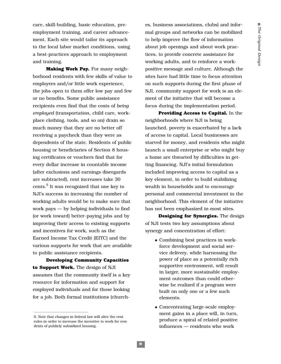care, skill-building, basic education, preemployment training, and career advancement. Each site would tailor its approach to the local labor market conditions, using a best-practices approach to employment and training.

**Making Work Pay.** For many neighborhood residents with few skills of value to employers and/or little work experience, the jobs open to them offer low pay and few or no benefits. Some public assistance recipients even find that the costs of *being employed* (transportation, child care, workplace clothing, tools, and so on) drain so much money that they are no better off receiving a paycheck than they were as dependents of the state. Residents of public housing or beneficiaries of Section 8 housing certificates or vouchers find that for every dollar increase in countable income (after exclusions and earnings disregards are subtracted), rent increases take 30 cents.5 It was recognized that one key to NJI's success in increasing the number of working adults would be to make sure that work pays — by helping individuals to find (or work toward) better-paying jobs and by improving their access to existing supports and incentives for work, such as the Earned Income Tax Credit (EITC) and the various supports for work that are available to public assistance recipients.

**Developing Community Capacities to Support Work.** The design of NJI assumes that the community itself is a key resource for information and support for employed individuals and for those looking for a job. Both formal institutions (churches, business associations, clubs) and informal groups and networks can be mobilized to help improve the flow of information about job openings and about work practices, to provide concrete assistance for working adults, and to reinforce a workpositive message and culture. Although the sites have had little time to focus attention on such supports during the first phase of NJI, community support for work is an element of the initiative that will become a focus during the implementation period.

**Providing Access to Capital.** In the neighborhoods where NJI is being launched, poverty is exacerbated by a lack of access to capital. Local businesses are starved for money, and residents who might launch a small enterprise or who might buy a home are thwarted by difficulties in getting financing. NJI's initial formulation included improving access to capital as a key element, in order to build stabilizing wealth in households and to encourage personal and commercial investment in the neighborhood. This element of the initiative has not been emphasized in most sites.

**Designing for Synergies.** The design of NJI tests two key assumptions about synergy and concentration of effort:

- ◆ Combining best practices in workforce development and social service delivery, while harnessing the power of place as a potentially rich supportive environment, will result in larger, more sustainable employment outcomes than could otherwise be realized if a program were built on only one or a few such elements.
- ◆ Concentrating large-scale employment gains in a place will, in turn, produce a spiral of related positive influences — residents who work

<sup>5.</sup> Note that changes in federal law will alter the rent rules in order to increase the incentive to work for residents of publicly subsidized housing.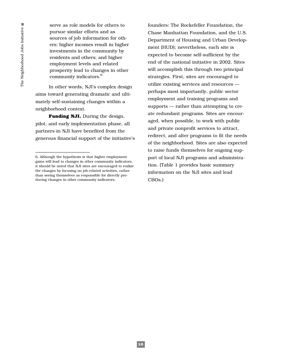serve as role models for others to pursue similar efforts and as sources of job information for others; higher incomes result in higher investments in the community by residents and others; and higher employment levels and related prosperity lead to changes in other community indicators.6

In other words, NJI's complex design aims toward generating dramatic and ultimately self-sustaining changes within a neighborhood context.

**Funding NJI.** During the design, pilot, and early implementation phase, all partners in NJI have benefited from the generous financial support of the initiative's founders: The Rockefeller Foundation, the Chase Manhattan Foundation, and the U.S. Department of Housing and Urban Development (HUD); nevertheless, each site is expected to become self-sufficient by the end of the national initiative in 2002. Sites will accomplish this through two principal strategies. First, sites are encouraged to utilize existing services and resources perhaps most importantly, public sector employment and training programs and supports — rather than attempting to create redundant programs. Sites are encouraged, when possible, to work with public and private nonprofit services to attract, redirect, and alter programs to fit the needs of the neighborhood. Sites are also expected to raise funds themselves for ongoing support of local NJI programs and administration. (Table 1 provides basic summary information on the NJI sites and lead CBOs.)

<sup>6.</sup> Although the hypothesis is that higher employment gains will lead to changes in other community indicators, it should be noted that NJI sites are encouraged to realize the changes by focusing on job-related activities, rather than seeing themselves as responsible for directly producing changes in other community indicators.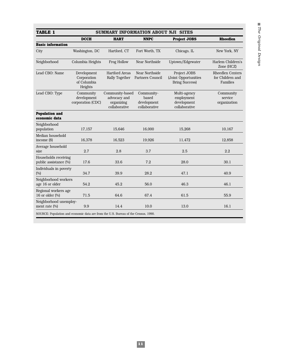| TABLE 1<br><b>SUMMARY INFORMATION ABOUT NJI SITES</b>                              |                                                      |                                                                |                                                     |                                                               |                                                         |  |  |  |  |
|------------------------------------------------------------------------------------|------------------------------------------------------|----------------------------------------------------------------|-----------------------------------------------------|---------------------------------------------------------------|---------------------------------------------------------|--|--|--|--|
|                                                                                    | <b>DCCH</b>                                          | <b>HART</b>                                                    | <b>NNPC</b>                                         | <b>Project JOBS</b>                                           | <b>Rheedlen</b>                                         |  |  |  |  |
| <b>Basic information</b>                                                           |                                                      |                                                                |                                                     |                                                               |                                                         |  |  |  |  |
| City                                                                               | Washington, DC                                       | Hartford, CT                                                   | Fort Worth, TX                                      | Chicago, IL                                                   | New York, NY                                            |  |  |  |  |
| Neighborhood                                                                       | Columbia Heights                                     | Frog Hollow                                                    | Near Northside<br>Uptown/Edgewater                  |                                                               | Harlem Children's<br>Zone (HCZ)                         |  |  |  |  |
| Lead CBO: Name                                                                     | Development<br>Corporation<br>of Columbia<br>Heights | <b>Hartford Areas</b><br><b>Rally Together</b>                 | Near Northside<br>Partners Council                  | Project JOBS<br>(Joint Opportunities<br><b>Bring Success)</b> | <b>Rheedlen Centers</b><br>for Children and<br>Families |  |  |  |  |
| Lead CBO: Type                                                                     | Community<br>development<br>corporation (CDC)        | Community-based<br>advocacy and<br>organizing<br>collaborative | Community-<br>based<br>development<br>collaborative | Multi-agency<br>employment<br>development<br>collaborative    | Community<br>service<br>organization                    |  |  |  |  |
| <b>Population and</b><br>economic data                                             |                                                      |                                                                |                                                     |                                                               |                                                         |  |  |  |  |
| Neighborhood<br>population                                                         | 17,157                                               | 15.646                                                         | 16.000                                              | 15.268                                                        | 10.167                                                  |  |  |  |  |
| Median household<br>income $(S)$                                                   | 16,378                                               | 16,523                                                         | 19,926                                              | 11,472                                                        | 12,858                                                  |  |  |  |  |
| Average household<br>size                                                          | 2.7                                                  | 2.8                                                            | 3.7                                                 | 2.5                                                           | 2.2                                                     |  |  |  |  |
| Households receiving<br>public assistance (%)                                      | 17.6                                                 | 33.6                                                           | 7.2                                                 | 28.0                                                          | 30.1                                                    |  |  |  |  |
| Individuals in poverty<br>(%)                                                      | 34.7                                                 | 39.9                                                           | 28.2                                                | 47.1                                                          | 40.9                                                    |  |  |  |  |
| Neighborhood workers<br>age 16 or older                                            | 54.2                                                 | 45.2                                                           | 56.0                                                | 46.3                                                          | 46.1                                                    |  |  |  |  |
| Regional workers age<br>16 or older $(\%)$                                         | 71.5                                                 | 64.6                                                           | 67.4                                                | 61.5                                                          | 55.9                                                    |  |  |  |  |
| Neighborhood unemploy-<br>ment rate (%)                                            | 9.9                                                  | 14.4                                                           | 10.0                                                | 13.0                                                          | 16.1                                                    |  |  |  |  |
| SOURCE: Population and economic data are from the U.S. Bureau of the Census, 1990. |                                                      |                                                                |                                                     |                                                               |                                                         |  |  |  |  |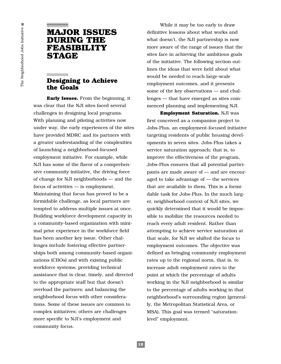# **MAJOR ISSUES DURING THE FEASIBILITY STAGE**

# **Designing to Achieve the Goals**

**Early Issues.** From the beginning, it was clear that the NJI sites faced several challenges in designing local programs. With planning and piloting activities now under way, the early experiences of the sites have provided MDRC and its partners with a greater understanding of the complexities of launching a neighborhood-focused employment initiative. For example, while NJI has some of the flavor of a comprehensive community initiative, the driving force of change for NJI neighborhoods — and the focus of activities — is employment. Maintaining that focus has proved to be a formidable challenge, as local partners are tempted to address multiple issues at once. Building workforce development capacity in a community-based organization with minimal prior experience in the workforce field has been another key issue. Other challenges include fostering effective partnerships both among community-based organizations (CBOs) and with existing public workforce systems; providing technical assistance that is clear, timely, and directed to the appropriate staff but that doesn't overload the partners; and balancing the neighborhood focus with other considerations. Some of these issues are common to complex initiatives; others are challenges more specific to NJI's employment and community focus.

While it may be too early to draw definitive lessons about what works and what doesn't, the NJI partnership is now more aware of the range of issues that the sites face in achieving the ambitious goals of the initiative. The following section outlines the ideas that were held about what would be needed to reach large-scale employment outcomes, and it presents some of the key observations — and challenges — that have emerged as sites commenced planning and implementing NJI.

**Employment Saturation.** NJI was first conceived as a companion project to Jobs-Plus, an employment-focused initiative targeting residents of public housing developments in seven sites. Jobs-Plus takes a service saturation approach; that is, to improve the effectiveness of the program, Jobs-Plus ensures that all potential participants are made aware of — and are encouraged to take advantage of — the services that are available to them. This is a formidable task for Jobs-Plus. In the much larger, neighborhood context of NJI sites, we quickly determined that it would be impossible to mobilize the resources needed to reach every adult resident. Rather than attempting to achieve service saturation at that scale, for NJI we shifted the focus to employment outcomes. The objective was defined as bringing community employment rates up to the regional norm, that is, to increase adult employment rates to the point at which the percentage of adults working in the NJI neighborhood is similar to the percentage of adults working in that neighborhood's surrounding region (generally, the Metropolitan Statistical Area, or MSA). This goal was termed "saturationlevel" employment.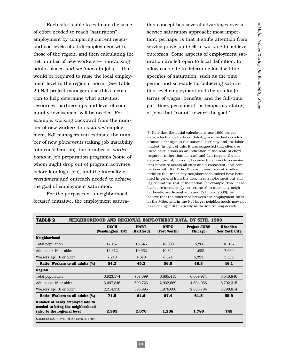Each site is able to estimate the scale of effort needed to reach "saturation" employment by comparing current neighborhood levels of adult employment with those of the region, and then calculating the net number of new workers — nonworking adults placed *and sustained* in jobs — that would be required to raise the local employment level to the regional norm. (See Table 2.) NJI project managers use this calculation to help determine what activities, resources, partnerships and level of community involvement will be needed. For example, working backward from the number of new workers in *sustained* employment, NJI managers can estimate the number of new *placements* (taking job instability into consideration), the number of *participants* in job preparation programs (some of whom might drop out of program activities before landing a job), and the intensity of *recruitment* and outreach needed to achieve the goal of employment saturation.

For the purposes of a neighborhoodfocused initiative, the employment satura-

tion concept has several advantages over a service saturation approach; most important, perhaps, is that it shifts attention from service provision itself to working to achieve outcomes. Some aspects of employment saturation are left open to local definition, to allow each site to determine for itself the specifics of saturation, such as the time period and schedule for achieving saturation-level employment and the quality (in terms of wages, benefits, and the full-time, part-time, permanent, or temporary status) of jobs that "count" toward the goal.<sup>7</sup>

7. Note that the initial calculations use 1990 census data, which are clearly outdated, given the last decade's dramatic changes in the national economy and the labor market. In light of this, it was suggested that sites use these calculations as an indication of the scale of effort required, rather than as hard-and-fast targets. Census data are useful, however, because they provide a consistent measure across all sites and a consistent local comparison with the MSA. Moreover, since recent studies indicate that inner-city neighborhoods indeed have benefited in general from the drop in unemployment but still lag behind the rest of the nation (for example, TANF caseloads are increasingly concentrated in inner-city neighborhoods; see Rosenbaum and DeLucca, 2000), we believe that the difference between the employment rates in the MSAs and in the NJI target neighborhoods may not have changed dramatically in the intervening decade.

| NEIGHBORHOOD AND REGIONAL EMPLOYMENT DATA. BY SITE. 1990<br>TABLE 2                                |                                 |                           |                             |                                  |                                    |  |  |
|----------------------------------------------------------------------------------------------------|---------------------------------|---------------------------|-----------------------------|----------------------------------|------------------------------------|--|--|
|                                                                                                    | <b>DCCH</b><br>(Washington, DC) | <b>HART</b><br>(Hartford) | <b>NNPC</b><br>(Fort Worth) | <b>Project JOBS</b><br>(Chicago) | <b>Rheedlen</b><br>(New York City) |  |  |
| Neighborhood                                                                                       |                                 |                           |                             |                                  |                                    |  |  |
| Total population                                                                                   | 17,157                          | 15,646                    | 16,000                      | 15,268                           | 10,167                             |  |  |
| Adults age 16 or older                                                                             | 13,312                          | 10,662                    | 10,844                      | 11,655                           | 7,660                              |  |  |
| Workers age 16 or older                                                                            | 7,210                           | 4,820                     | 6,071                       | 5,393                            | 3,535                              |  |  |
| Ratio: Workers to all adults (%)                                                                   | 54.2                            | 45.2                      | 56.0                        | 46.3                             | 46.1                               |  |  |
| Region                                                                                             |                                 |                           |                             |                                  |                                    |  |  |
| Total population                                                                                   | 3,923,574                       | 767,899                   | 3,885,415                   | 6,069,974                        | 8,546,846                          |  |  |
| Adults age 16 or older                                                                             | 3,097,846                       | 609,726                   | 2,932,669                   | 4,694,066                        | 6,792,315                          |  |  |
| Workers age 16 or older                                                                            | 2,214,350                       | 393,995                   | 1,976,606                   | 2,888,784                        | 3,798,814                          |  |  |
| <b>Ratio: Workers to all adults (%)</b>                                                            | 71.5                            | 64.6                      | 67.4                        | 61.5                             | 55.9                               |  |  |
| Number of newly employed adults<br>needed to bring the neighborhood<br>ratio to the regional level | 2.305                           | 2,070                     | 1,238                       | 1,780                            | 749                                |  |  |
| SOURCE: U.S. Bureau of the Census, 1990.                                                           |                                 |                           |                             |                                  |                                    |  |  |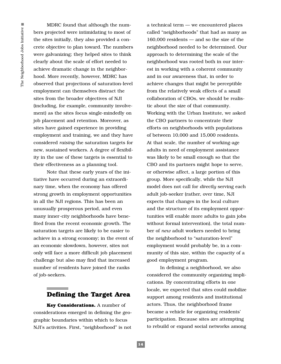MDRC found that although the numbers projected were intimidating to most of the sites initially, they also provided a concrete objective to plan toward. The numbers were galvanizing; they helped sites to think clearly about the scale of effort needed to achieve dramatic change in the neighborhood. More recently, however, MDRC has observed that projections of saturation-level employment can themselves distract the sites from the broader objectives of NJI (including, for example, community involvement) as the sites focus single-mindedly on job placement and retention. Moreover, as sites have gained experience in providing employment and training, we and they have considered *raising* the saturation targets for new, sustained workers. A degree of flexibility in the use of these targets is essential to their effectiveness as a planning tool.

Note that these early years of the initiative have occurred during an extraordinary time, when the economy has offered strong growth in employment opportunities in all the NJI regions. This has been an unusually prosperous period, and even many inner-city neighborhoods have benefited from the recent economic growth. The saturation targets are likely to be easier to achieve in a strong economy; in the event of an economic slowdown, however, sites not only will face a more difficult job placement challenge but also may find that increased number of residents have joined the ranks of job-seekers.

# **Defining the Target Area**

**Key Considerations.** A number of considerations emerged in defining the geographic boundaries within which to focus NJI's activities. First, "neighborhood" is not

a technical term — we encountered places called "neighborhoods" that had as many as 160,000 residents — and so the size of the neighborhood needed to be determined. Our approach to determining the scale of the neighborhood was rooted both in our interest in working with a coherent community and in our awareness that, in order to achieve changes that might be perceptible from the relatively weak effects of a small collaboration of CBOs, we should be realistic about the size of that community. Working with the Urban Institute, we asked the CBO partners to concentrate their efforts on neighborhoods with populations of between 10,000 and 15,000 residents. At that scale, the number of working-age adults in need of employment assistance was likely to be small enough so that the CBO and its partners might hope to serve, or otherwise affect, a large portion of this group. More specifically, while the NJI model does not call for *directly* serving each adult job-seeker (rather, over time, NJI expects that changes in the local culture and the structure of its employment opportunities will enable more adults to gain jobs without formal intervention), the total number of *new* adult workers needed to bring the neighborhood to "saturation-level" employment would probably be, in a community of this size, within the capacity of a good employment program.

In defining a neighborhood, we also considered the community organizing implications. By concentrating efforts in one locale, we expected that sites could mobilize support among residents and institutional actors. Thus, the neighborhood frame became a vehicle for organizing residents' participation. Because sites are attempting to rebuild or expand social networks among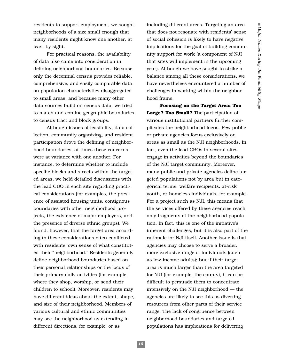residents to support employment, we sought neighborhoods of a size small enough that many residents might know one another, at least by sight.

For practical reasons, the availability of data also came into consideration in defining neighborhood boundaries. Because only the decennial census provides reliable, comprehensive, and easily comparable data on population characteristics disaggregated to small areas, and because many other data sources build on census data, we tried to match and confine geographic boundaries to census tract and block groups.

Although issues of feasibility, data collection, community organizing, and resident participation drove the defining of neighborhood boundaries, at times these concerns were at variance with one another. For instance, to determine whether to include specific blocks and streets within the targeted areas, we held detailed discussions with the lead CBO in each site regarding practical considerations (for examples, the presence of assisted housing units, contiguous boundaries with other neighborhood projects, the existence of major employers, and the presence of diverse ethnic groups). We found, however, that the target area according to these considerations often conflicted with residents' own sense of what constituted their "neighborhood." Residents generally define neighborhood boundaries based on their personal relationships or the locus of their primary daily activities (for example, where they shop, worship, or send their children to school). Moreover, residents may have different ideas about the extent, shape, and size of their neighborhood. Members of various cultural and ethnic communities may see the neighborhood as extending in different directions, for example, or as

including different areas. Targeting an area that does not resonate with residents' sense of social cohesion is likely to have negative implications for the goal of building community support for work (a component of NJI that sites will implement in the upcoming year). Although we have sought to strike a balance among all these considerations, we have nevertheless encountered a number of challenges in working within the neighborhood frame.

**Focusing on the Target Area: Too Large? Too Small?** The participation of various institutional partners further complicates the neighborhood focus. Few public or private agencies focus exclusively on areas as small as the NJI neighborhoods. In fact, even the lead CBOs in several sites engage in activities beyond the boundaries of the NJI target community. Moreover, many public and private agencies define targeted populations not by area but in categorical terms: welfare recipients, at-risk youth, or homeless individuals, for example. For a project such as NJI, this means that the services offered by these agencies reach only fragments of the neighborhood population. In fact, this is one of the initiative's inherent challenges, but it is also part of the rationale for NJI itself. Another issue is that agencies may choose to serve a broader, more exclusive range of individuals (such as low-income adults); but if their target area is much larger than the area targeted for NJI (for example, the county), it can be difficult to persuade them to concentrate intensively on the NJI neighborhood — the agencies are likely to see this as diverting resources from other parts of their service range. The lack of congruence between neighborhood boundaries and targeted populations has implications for delivering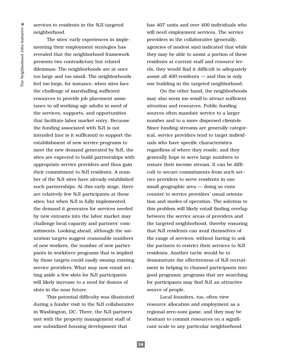services to residents in the NJI-targeted neighborhood.

The sites' early experiences in implementing their employment strategies has revealed that the neighborhood framework presents two contradictory but related dilemmas: The neighborhoods are at once too large and too small. The neighborhoods feel *too large,* for instance*,* when sites face the challenge of marshalling sufficient resources to provide job placement assistance to *all* working-age adults in need of the services, supports, and opportunities that facilitate labor market entry. Because the funding associated with NJI is not intended (nor is it sufficient) to support the establishment of new service programs to meet the new demand generated by NJI, the sites are expected to build partnerships with appropriate service providers and thus gain their commitment to NJI residents. A number of the NJI sites have already established such partnerships. At this early stage, there are relatively few NJI participants at these sites; but when NJI is fully implemented, the demand it generates for services needed by new entrants into the labor market may challenge local capacity and partners' commitments. Looking ahead, although the saturation targets suggest reasonable numbers of new workers, the number of new participants in workforce programs that is implied by those targets could easily swamp existing service providers. What may now entail setting aside a few slots for NJI participants will likely increase to a need for dozens of slots in the near future.

This potential difficulty was illustrated during a funder visit to the NJI collaborative in Washington, DC. There, the NJI partners met with the property management staff of one subsidized housing development that

has 407 units and over 400 individuals who will need employment services. The service providers in the collaborative (generally, agencies of modest size) indicated that while they may be able to assist a portion of these residents at current staff and resource levels, they would find it difficult to adequately assist all 400 residents — and this is only one building in the targeted neighborhood.

On the other hand, the neighborhoods may also seem *too small* to attract sufficient attention and resources. Public funding sources often mandate service to a larger number and to a more dispersed clientele. Since funding streams are generally categorical, service providers tend to target individuals who have specific characteristics regardless of where they reside, and they generally hope to serve large numbers to ensure their income stream. It can be difficult to secure commitments from such service providers to serve residents in one small geographic area — doing so runs counter to service providers' usual orientation and modes of operation. The solution to this problem will likely entail finding overlap between the service areas of providers and the targeted neighborhood, thereby ensuring that NJI residents can avail themselves of the range of services, without having to ask the partners to restrict their services to NJI residents. Another tactic would be to demonstrate the effectiveness of NJI recruitment in helping to channel participants into good programs; programs that are searching for participants may find NJI an attractive source of people.

Local founders, too, often view resource allocation and employment as a regional zero-sum game, and they may be hesitant to commit resources on a significant scale to any particular neighborhood.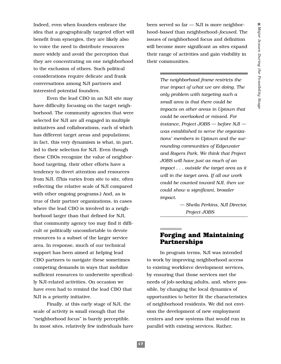Indeed, even when founders embrace the idea that a geographically targeted effort will benefit from synergies, they are likely also to voice the need to distribute resources more widely and avoid the perception that they are concentrating on one neighborhood to the exclusion of others. Such political considerations require delicate and frank conversations among NJI partners and interested potential founders.

Even the lead CBO in an NJI site may have difficulty focusing on the target neighborhood. The community agencies that were selected for NJI are all engaged in multiple initiatives and collaborations, each of which has different target areas and populations; in fact, this very dynamism is what, in part, led to their selection for NJI. Even though these CBOs recognize the value of neighborhood targeting, their other efforts have a tendency to divert attention and resources from NJI. (This varies from site to site, often reflecting the relative scale of NJI compared with other ongoing programs.) And, as is true of their partner organizations, in cases where the lead CBO is involved in a neighborhood larger than that defined for NJI, that community agency too may find it difficult or politically uncomfortable to devote resources to a subset of the larger service area. In response, much of our technical support has been aimed at helping lead CBO partners to navigate these sometimes competing demands in ways that mobilize sufficient resources to underwrite specifically NJI-related activities. On occasion we have even had to remind the lead CBO that NJI is a priority initiative.

Finally, at this early stage of NJI, the scale of activity is small enough that the "neighborhood focus" is barely perceptible. In most sites, relatively few individuals have

been served so far — NJI is more neighborhood-*based* than neighborhood-*focused.* The issues of neighborhood focus and definition will become more significant as sites expand their range of activities and gain visibility in their communities.

> *The neighborhood frame restricts the true impact of what we are doing. The only problem with targeting such a small area is that there could be impacts on other areas in Uptown that could be overlooked or missed. For instance, Project JOBS — before NJI was established to serve the organizations' members in Uptown and the surrounding communities of Edgewater and Rogers Park. We think that Project JOBS will have just as much of an impact . . . outside the target area as it will in the target area. If all our work could be counted toward NJI, then we could show a significant, broader impact.*

> > *— Sheila Perkins, NJI Director, Project JOBS*

### **Forging and Maintaining Partnerships**

In program terms, NJI was intended to work by improving neighborhood access to existing workforce development services, by ensuring that those services met the needs of job-seeking adults, and, where possible, by changing the local dynamics of opportunities to better fit the characteristics of neighborhood residents. We did not envision the development of new employment centers and new systems that would run in parallel with existing services. Rather,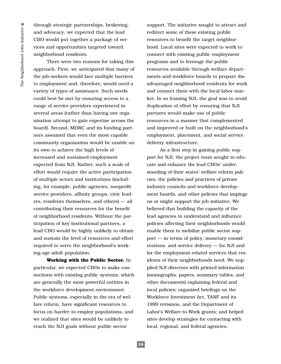through strategic partnerships, brokering, and advocacy, we expected that the lead CBO would put together a package of services and opportunities targeted toward neighborhood residents.

There were two reasons for taking this approach. First, we anticipated that many of the job-seekers would face multiple barriers to employment and, therefore, would need a variety of types of assistance. Such needs could best be met by ensuring access to a range of service providers experienced in several areas (rather than having one organization attempt to gain expertise across the board). Second, MDRC and its funding partners assumed that even the most capable community organization would be unable on its own to achieve the high levels of increased and sustained employment expected from NJI. Rather, such a scale of effort would require the active participation of multiple actors and institutions (including, for example, public agencies, nonprofit service providers, affinity groups, civic leaders, residents themselves, and others) — all contributing their resources for the benefit of neighborhood residents. Without the participation of key institutional partners, a lead CBO would be highly unlikely to obtain and sustain the level of resources and effort required to serve the neighborhood's working-age adult population.

**Working with the Public Sector.** In particular, we expected CBOs to make connections with existing public systems, which are generally the most powerful entities in the workforce development environment. Public systems, especially in the era of welfare reform, have significant resources to focus on harder-to-employ populations, and we realized that sites would be unlikely to reach the NJI goals without public sector

support. The initiative sought to attract and redirect some of these existing public resources to benefit the target neighborhood. Local sites were expected to work to connect with existing public employment programs and to leverage the public resources available through welfare departments and workforce boards to prepare disadvantaged neighborhood residents for work and connect them with the local labor market. In so framing NJI, the goal was to avoid duplication of effort by ensuring that NJI partners would make use of public resources in a manner that complemented and improved or built on the neighborhood's employment, placement, and social service delivery infrastructure.

As a first step in gaining public support for NJI, the project team sought to educate and enhance the lead CBOs' understanding of their states' welfare reform policies, the policies and practices of private industry councils and workforce development boards, and other policies that impinge on or might support the job initiative. We believed that building the capacity of the lead agencies to understand and influence policies affecting their neighborhoods would enable them to mobilize public sector support — in terms of policy, monetary considerations, and service delivery — for NJI and for the employment-related services that residents of their neighborhoods need. We supplied NJI directors with printed information (monographs, papers, summary tables, and other documents) explaining federal and local policies; organized briefings on the Workforce Investment Act, TANF and its 1999 revisions, and the Department of Labor's Welfare-to-Work grants; and helped sites develop strategies for contacting with local, regional, and federal agencies.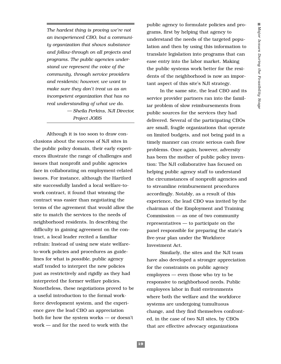*The hardest thing is proving we're not an inexperienced CBO, but a community organization that shows substance and follow-through on all projects and programs. The public agencies understand we represent the voice of the community, through service providers and residents; however, we want to make sure they don't treat us as an incompetent organization that has no real understanding of what we do. — Sheila Perkins, NJI Director, Project JOBS*

Although it is too soon to draw conclusions about the success of NJI sites in the public policy domain, their early experiences illustrate the range of challenges and issues that nonprofit and public agencies face in collaborating on employment-related issues. For instance, although the Hartford site successfully landed a local welfare-towork contract, it found that winning the contract was easier than negotiating the terms of the agreement that would allow the site to match the services to the needs of neighborhood residents. In describing the difficulty in gaining agreement on the contract, a local leader recited a familiar refrain: Instead of using new state welfareto-work policies and procedures as guidelines for what is *possible*, public agency staff tended to interpret the new policies just as restrictively and rigidly as they had interpreted the former welfare policies. Nonetheless, these negotiations proved to be a useful introduction to the formal workforce development system, and the experience gave the lead CBO an appreciation both for how the system works — or doesn't work — and for the need to work with the

public agency to formulate policies and programs, first by helping that agency to understand the needs of the targeted population and then by using this information to translate legislation into programs that can ease entry into the labor market. Making the public systems work better for the residents of the neighborhood is now an important aspect of this site's NJI strategy.

In the same site, the lead CBO and its service provider partners ran into the familiar problem of slow reimbursements from public sources for the services they had delivered. Several of the participating CBOs are small, fragile organizations that operate on limited budgets, and not being paid in a timely manner can create serious cash flow problems. Once again, however, adversity has been the mother of public policy invention: The NJI collaborative has focused on helping public agency staff to understand the circumstances of nonprofit agencies and to streamline reimbursement procedures accordingly. Notably, as a result of this experience, the lead CBO was invited by the chairman of the Employment and Training Commission — as one of two community representatives — to participate on the panel responsible for preparing the state's five-year plan under the Workforce Investment Act.

Similarly, the sites and the NJI team have also developed a stronger appreciation for the constraints on public agency employees — even those who try to be responsive to neighborhood needs. Public employees labor in fluid environments where both the welfare and the workforce systems are undergoing tumultuous change, and they find themselves confronted, in the case of two NJI sites, by CBOs that are effective advocacy organizations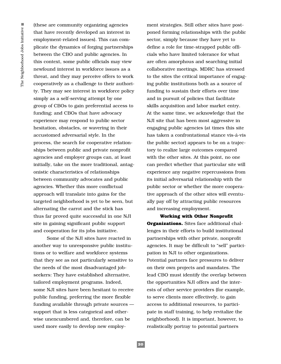(these are community organizing agencies that have recently developed an interest in employment-related issues). This can complicate the dynamics of forging partnerships between the CBO and public agencies. In this context, some public officials may view newfound interest in workforce issues as a threat, and they may perceive offers to work cooperatively as a challenge to their authority. They may see interest in workforce policy simply as a self-serving attempt by one group of CBOs to gain preferential access to funding; and CBOs that have advocacy experience may respond to public sector hesitation, obstacles, or wavering in their accustomed adversarial style. In the process, the search for cooperative relationships between public and private nonprofit agencies and employer groups can, at least initially, take on the more traditional, antagonistic characteristics of relationships between community advocates and public agencies. Whether this more conflictual approach will translate into gains for the targeted neighborhood is yet to be seen, but alternating the carrot and the stick has thus far proved quite successful in one NJI site in gaining significant public support and cooperation for its jobs initiative.

Some of the NJI sites have reacted in another way to unresponsive public institutions or to welfare and workforce systems that they see as not particularly sensitive to the needs of the most disadvantaged jobseekers: They have established alternative, tailored employment programs. Indeed, some NJI sites have been hesitant to receive public funding, preferring the more flexible funding available through private sources support that is less categorical and otherwise unencumbered and, therefore, can be used more easily to develop new employ-

sector, simply because they have yet to define a role for time-strapped public officials who have limited tolerance for what are often amorphous and searching initial collaborative meetings. MDRC has stressed to the sites the critical importance of engaging public institutions both as a source of funding to sustain their efforts over time and in pursuit of policies that facilitate skills acquisition and labor market entry. At the same time, we acknowledge that the NJI site that has been most aggressive in engaging public agencies (at times this site has taken a confrontational stance vis-á-vis the public sector) appears to be on a trajectory to realize large outcomes compared with the other sites. At this point, no one can predict whether that particular site will experience any negative repercussions from its initial adversarial relationship with the public sector or whether the more cooperative approach of the other sites will eventually pay off by attracting public resources and increasing employment.

ment strategies. Still other sites have postponed forming relationships with the public

**Working with Other Nonprofit Organizations.** Sites face additional challenges in their efforts to build institutional partnerships with other private, nonprofit agencies. It may be difficult to "sell" participation in NJI to other organizations. Potential partners face pressures to deliver on their own projects and mandates. The lead CBO must identify the overlap between the opportunities NJI offers and the interests of other service providers (for example, to serve clients more effectively, to gain access to additional resources, to participate in staff training, to help revitalize the neighborhood). It is important, however, to realistically portray to potential partners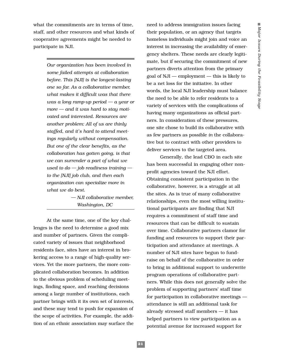what the commitments are in terms of time, staff, and other resources and what kinds of cooperative agreements might be needed to participate in NJI.

> *Our organization has been involved in some failed attempts at collaboration before. This [NJI] is the longest-lasting one so far. As a collaborative member, what makes it difficult was that there was a long ramp-up period — a year or more — and it was hard to stay motivated and interested. Resources are another problem: All of us are thinly staffed, and it's hard to attend meetings regularly without compensation. But one of the clear benefits, as the collaboration has gotten going, is that we can surrender a part of what we used to do — job readiness training to the [NJI] job club, and then each organization can specialize more in what we do best.*

> > *— NJI collaborative member, Washington, DC*

At the same time, one of the key challenges is the need to determine a good mix and number of partners. Given the complicated variety of issues that neighborhood residents face, sites have an interest in brokering access to a range of high-quality services. Yet the more partners, the more complicated collaboration becomes. In addition to the obvious problem of scheduling meetings, finding space, and reaching decisions among a large number of institutions, each partner brings with it its own set of interests, and these may tend to push for expansion of the scope of activities. For example, the addition of an ethnic association may surface the

need to address immigration issues facing their population, or an agency that targets homeless individuals might join and voice an interest in increasing the availability of emergency shelters. These needs are clearly legitimate, but if securing the commitment of new partners diverts attention from the primary goal of NJI — employment — this is likely to be a net loss for the initiative. In other words, the local NJI leadership must balance the need to be able to refer residents to a variety of services with the complications of having many organizations as official partners. In consideration of these pressures, one site chose to build its collaborative with as few partners as possible *in* the collaborative but to contract with other providers to deliver services to the targeted area.

Generally, the lead CBO in each site has been successful in engaging other nonprofit agencies toward the NJI effort. Obtaining consistent participation in the collaborative, however, is a struggle at all the sites. As is true of many collaborative relationships, even the most willing institutional participants are finding that NJI requires a commitment of staff time and resources that can be difficult to sustain over time. Collaborative partners clamor for funding and resources to support their participation and attendance at meetings. A number of NJI sites have begun to fundraise on behalf of the collaborative in order to bring in additional support to underwrite program operations of collaborative partners. While this does not generally solve the problem of supporting partners' staff time for participation in collaborative meetings attendance is still an additional task for already stressed staff members — it has helped partners to view participation as a potential avenue for increased support for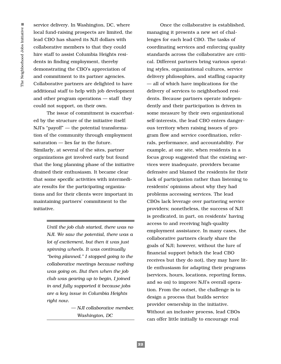service delivery. In Washington, DC, where local fund-raising prospects are limited, the lead CBO has shared its NJI dollars with collaborative members to that they could hire staff to assist Columbia Heights residents in finding employment, thereby demonstrating the CBO's appreciation of and commitment to its partner agencies. Collaborative partners are delighted to have additional staff to help with job development and other program operations — staff they could not support, on their own.

The issue of commitment is exacerbated by the structure of the initiative itself: NJI's "payoff" — the potential transformation of the community through employment saturation — lies far in the future. Similarly, at several of the sites, partner organizations got involved early but found that the long planning phase of the initiative drained their enthusiasm. It became clear that some specific activities with intermediate results for the participating organizations and for their clients were important in maintaining partners' commitment to the initiative.

> *Until the job club started, there was no NJI. We saw the potential, there was a lot of excitement, but then it was just spinning wheels. It was continually "being planned." I stopped going to the collaborative meetings because nothing was going on. But then when the job club was gearing up to begin, I joined in and fully supported it because jobs are a key issue in Columbia Heights right now.*

> > *— NJI collaborative member, Washington, DC*

Once the collaborative is established, managing it presents a new set of challenges for each lead CBO. The tasks of coordinating services and enforcing quality standards across the collaborative are critical. Different partners bring various operating styles, organizational cultures, service delivery philosophies, and staffing capacity — all of which have implications for the delivery of services to neighborhood residents. Because partners operate independently and their participation is driven in some measure by their own organizational self-interests, the lead CBO enters dangerous territory when raising issues of program flow and service coordination, referrals, performance, and accountability. For example, at one site, when residents in a focus group suggested that the existing services were inadequate, providers became defensive and blamed the residents for their lack of participation rather than listening to residents' opinions about why they had problems accessing services. The lead CBOs lack leverage over partnering service providers; nonetheless, the success of NJI is predicated, in part, on residents' having access to and receiving high-quality employment assistance. In many cases, the collaborative partners clearly share the goals of NJI; however, without the lure of financial support (which the lead CBO receives but they do not), they may have little enthusiasm for adapting their programs (services, hours, locations, reporting forms, and so on) to improve NJI's overall operation. From the outset, the challenge is to design a process that builds service provider ownership in the initiative. Without an inclusive process, lead CBOs can offer little initially to encourage real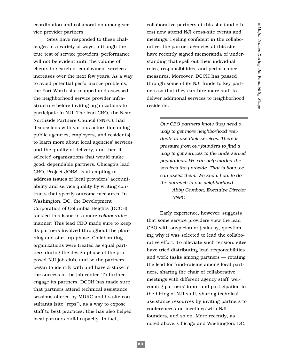coordination and collaboration among service provider partners.

Sites have responded to these challenges in a variety of ways, although the true test of service providers' performance will not be evident until the volume of clients in search of employment services increases over the next few years. As a way to avoid potential performance problems, the Fort Worth site mapped and assessed the neighborhood service provider infrastructure before inviting organizations to participate in NJI. The lead CBO, the Near Northside Partners Council (NNPC), had discussions with various actors (including public agencies, employers, and residents) to learn more about local agencies' services and the quality of delivery, and then it selected organizations that would make good, dependable partners. Chicago's lead CBO, Project JOBS, is attempting to address issues of local providers' accountability and service quality by writing contracts that specify outcome measures. In Washington, DC, the Development Corporation of Columbia Heights (DCCH) tackled this issue in a more *collaborative* manner: This lead CBO made sure to keep its partners involved throughout the planning and start-up phase. Collaborating organizations were treated as equal partners during the design phase of the proposed NJI job club, and so the partners began to identify with and have a stake in the success of the job center. To further engage its partners, DCCH has made sure that partners attend technical assistance sessions offered by MDRC and its site consultants (site "reps"), as a way to expose staff to best practices; this has also helped local partners build capacity. In fact,

collaborative partners at this site (and others) now attend NJI cross-site events and meetings. Feeling confident in the collaborative, the partner agencies at this site have recently signed memoranda of understanding that spell out their individual roles, responsibilities, and performance measures. Moreover, DCCH has passed through some of its NJI funds to key partners so that they can hire more staff to deliver additional services to neighborhood residents.

> *Our CBO partners know they need a way to get more neighborhood residents to use their services. There is pressure from our founders to find a way to get services to the underserved populations. We can help market the services they provide. That is how we can assist them. We know how to do the outreach in our neighborhood. — Abby Gamboa, Executive Director,*

*NNPC*

Early experience, however, suggests that some service providers view the lead CBO with suspicion or jealousy, questioning why it was selected to lead the collaborative effort. To alleviate such tension, sites have tried distributing lead responsibilities and work tasks among partners — rotating the lead for fund-raising among local partners, sharing the chair of collaborative meetings with different agency staff, welcoming partners' input and participation in the hiring of NJI staff, sharing technical assistance resources by inviting partners to conferences and meetings with NJI founders, and so on. More recently, as noted above, Chicago and Washington, DC,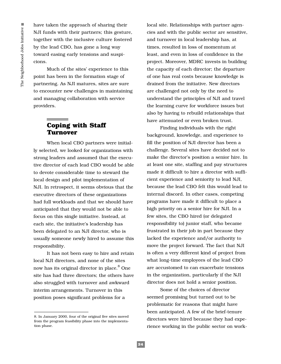have taken the approach of sharing their NJI funds with their partners; this gesture, together with the inclusive culture fostered by the lead CBO, has gone a long way toward easing early tensions and suspicions.

Much of the sites' experience to this point has been in the formation stage of partnering. As NJI matures, sites are sure to encounter new challenges in maintaining and managing collaboration with service providers.

# **Coping with Staff Turnover**

When local CBO partners were initially selected, we looked for organizations with strong leaders and assumed that the executive director of each lead CBO would be able to devote considerable time to steward the local design and pilot implementation of NJI. In retrospect, it seems obvious that the executive directors of these organizations had full workloads and that we should have anticipated that they would not be able to focus on this single initiative. Instead, at each site, the initiative's leadership has been delegated to an NJI director, who is usually someone newly hired to assume this responsibility.

It has not been easy to hire and retain local NJI directors, and none of the sites now has its original director in place.<sup>8</sup> One site has had three directors; the others have also struggled with turnover and awkward interim arrangements. Turnover in this position poses significant problems for a

local site. Relationships with partner agencies and with the public sector are sensitive, and turnover in local leadership has, at times, resulted in loss of momentum at least, and even in loss of confidence in the project. Moreover, MDRC invests in building the capacity of each director; the departure of one has real costs because knowledge is drained from the initiative. New directors are challenged not only by the need to understand the principles of NJI and travel the learning curve for workforce issues but also by having to rebuild relationships that have attenuated or even broken trust.

Finding individuals with the right background, knowledge, and experience to fill the position of NJI director has been a challenge. Several sites have decided not to make the director's position a senior hire. In at least one site, staffing and pay structures made it difficult to hire a director with sufficient experience and seniority to lead NJI, because the lead CBO felt this would lead to internal discord. In other cases, competing programs have made it difficult to place a high priority on a senior hire for NJI. In a few sites, the CBO hired (or delegated responsibility to) junior staff, who became frustrated in their job in part because they lacked the experience and/or authority to move the project forward. The fact that NJI is often a very different kind of project from what long-time employees of the lead CBO are accustomed to can exacerbate tensions in the organization, particularly if the NJI director does not hold a senior position.

Some of the choices of director seemed promising but turned out to be problematic for reasons that might have been anticipated. A few of the brief-tenure directors were hired because they had experience working in the public sector on work-

<sup>8.</sup> In January 2000, four of the original five sites moved from the program feasibility phase into the implementation phase.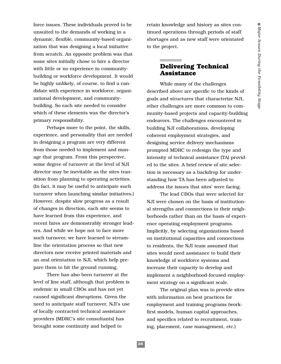force issues. These individuals proved to be unsuited to the demands of working in a dynamic, flexible, community-based organization that was designing a local initiative from scratch. An opposite problem was that some sites initially chose to hire a director with little or no experience in communitybuilding or workforce development. It would be highly unlikely, of course, to find a candidate with experience in workforce, organizational development, and communitybuilding. So each site needed to consider which of these elements was the director's primary responsibility.

Perhaps more to the point, the skills, experience, and personality that are needed in designing a program are very different from those needed to implement and manage that program. From this perspective, some degree of turnover at the level of NJI director may be inevitable as the sites transition from planning to operating activities. (In fact, it may be useful to anticipate such turnover when launching similar initiatives.) However, despite slow progress as a result of changes in direction, each site seems to have learned from this experience, and recent hires are demonstrably stronger leaders. And while we hope not to face more such turnover, we have learned to streamline the orientation process so that new directors now receive printed materials and an oral orientation to NJI, which help prepare them to hit the ground running.

There has also been turnover at the level of line staff, although that problem is endemic in small CBOs and has not yet caused significant disruptions. Given the need to anticipate staff turnover, NJI's use of locally contracted technical assistance providers (MDRC's site consultants) has brought some continuity and helped to

retain knowledge and history as sites continued operations through periods of staff shortages and as new staff were orientated to the project.

### **Delivering Technical Assistance**

While many of the challenges described above are specific to the kinds of goals and structures that characterize NJI, other challenges are more common to community-based projects and capacity-building endeavors. The challenges encountered in building NJI collaborations, developing coherent employment strategies, and designing service delivery mechanisms prompted MDRC to redesign the type and intensity of technical assistance (TA) provided to the sites. A brief review of site selection is necessary as a backdrop for understanding how TA has been adjusted to address the issues that sites' were facing.

The lead CBOs that were selected for NJI were chosen on the basis of institutional strengths and connections to their neighborhoods rather than on the basis of experience operating employment programs. Implicitly, by selecting organizations based on institutional capacities and connections to residents, the NJI team assumed that sites would need assistance to build their knowledge of workforce systems and increase their capacity to develop and implement a neighborhood-focused employment strategy on a significant scale.

The original plan was to provide sites with information on best practices for employment and training programs (workfirst models, human capital approaches, and specifics related to recruitment, training, placement, case management, etc.)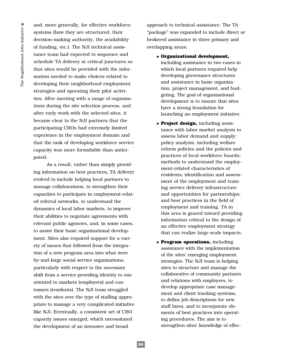and, more generally, for effective workforce systems (how they are structured, their decision-making authority, the availability of funding, etc.). The NJI technical assistance team had expected to sequence and schedule TA delivery at critical junctures so that sites would be provided with the information needed to make choices related to developing their neighborhood employment strategies and operating their pilot activities. After meeting with a range of organizations during the site selection process, and after early work with the selected sites, it became clear to the NJI partners that the participating CBOs had extremely limited experience in the employment domain and that the task of developing workforce service capacity was more formidable than anticipated.

As a result, rather than simply providing information on best practices, TA delivery evolved to include helping local partners to manage collaborations, to strengthen their capacities to participate in employment-related referral networks, to understand the dynamics of local labor markets, to improve their abilities to negotiate agreements with relevant public agencies, and, in some cases, to assist their basic organizational development. Sites also required support for a variety of issues that followed from the integration of a new program area into what were by-and-large social service organizations, particularly with respect to the necessary shift from a service-providing identity to one oriented to markets (employers) and customers (residents). The NJI team struggled with the sites over the type of staffing appropriate to manage a very complicated initiative like NJI. Eventually, a consistent set of CBO capacity issues emerged, which necessitated the development of an intensive and broad

approach to technical assistance. The TA "package" was expanded to include direct or brokered assistance in three primary and overlapping areas:

◆ **Organizational development,**

including assistance in two cases in which local partners required help developing governance structures and assistance in basic organization, project management, and budgeting. The goal of organizational development is to ensure that sites have a strong foundation for launching an employment initiative.

- ◆ **Project design,** including assistance with labor market analysis to assess labor demand and supply; policy analysis, including welfare reform policies and the policies and practices of local workforce boards; methods to understand the employment-related characteristics of residents; identification and assessment of the employment and training service delivery infrastructure and opportunities for partnerships; and best practices in the field of employment and training. TA in this area is geared toward providing information critical to the design of an effective employment strategy that can realize large-scale impacts.
- ◆ **Program operations,** including assistance with the implementation of the sites' emerging employment strategies. The NJI team is helping sites to structure and manage the collaborative of community partners and relations with employers, to develop appropriate case management and client tracking systems, to define job descriptions for new staff hires, and to incorporate elements of best practices into operating procedures. The aim is to strengthen sites' knowledge of effec-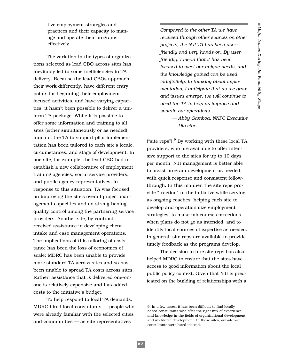tive employment strategies and practices and their capacity to manage and operate their programs effectively.

The variation in the types of organizations selected as lead CBO across sites has inevitably led to some inefficiencies in TA delivery. Because the lead CBOs approach their work differently, have different entry points for beginning their employmentfocused activities, and have varying capacities, it hasn't been possible to deliver a uniform TA package. While it is possible to offer some information and training to all sites (either simultaneously or as needed), much of the TA to support pilot implementation has been tailored to each site's locale, circumstances, and stage of development. In one site, for example, the lead CBO had to establish a new collaborative of employment training agencies, social service providers, and public agency representatives; in response to this situation, TA was focused on improving the site's overall project management capacities and on strengthening quality control among the partnering service providers. Another site, by contrast, received assistance in developing client intake and case management operations. The implications of this tailoring of assistance has been the loss of economies of scale; MDRC has been unable to provide more standard TA across sites and so has been unable to spread TA costs across sites. Rather, assistance that is delivered one-onone is relatively expensive and has added costs to the initiative's budget.

To help respond to local TA demands, MDRC hired local consultants — people who were already familiar with the selected cities and communities — as site representatives

*Compared to the other TA we have received through other sources on other projects, the NJI TA has been userfriendly and very hands-on. By userfriendly, I mean that it has been focused to meet our unique needs, and the knowledge gained can be used indefinitely. In thinking about implementation, I anticipate that as we grow and issues emerge, we will continue to need the TA to help us improve and sustain our operations.*

> *— Abby Gamboa, NNPC Executive Director*

("site reps"). $9$  By working with these local TA providers, who are available to offer intensive support to the sites for up to 10 days per month, NJI management is better able to assist program development as needed, with quick response and consistent followthrough. In this manner, the site reps provide "traction" to the initiative while serving as ongoing coaches, helping each site to develop and operationalize employment strategies, to make midcourse corrections when plans do not go as intended, and to identify local sources of expertise as needed. In general, site reps are available to provide timely feedback as the programs develop.

The decision to hire site reps has also helped MDRC to ensure that the sites have access to good information about the local public policy context. Given that NJI is predicated on the building of relationships with a

<sup>9.</sup> In a few cases, it has been difficult to find locally based consultants who offer the right mix of experience and knowledge in the fields of organizational development and workforce development. In those sites, out-of-town consultants were hired instead.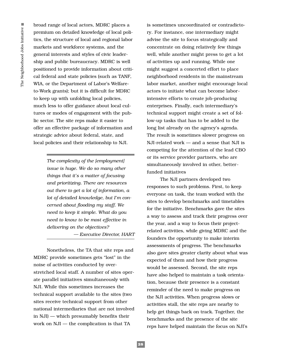broad range of local actors, MDRC places a premium on detailed knowledge of local politics, the structure of local and regional labor markets and workforce systems, and the general interests and styles of civic leadership and public bureaucracy. MDRC is well positioned to provide information about critical federal and state policies (such as TANF, WIA, or the Department of Labor's Welfareto-Work grants); but it is difficult for MDRC to keep up with unfolding local policies, much less to offer guidance about local cultures or modes of engagement with the public sector. The site reps make it easier to offer an effective package of information and strategic advice about federal, state, and local policies and their relationship to NJI.

> *The complexity of the [employment] issue is huge. We do so many other things that it's a matter of focusing and prioritizing. There are resources out there to get a lot of information, a lot of detailed knowledge, but I'm concerned about flooding my staff. We need to keep it simple. What do you need to know to be most effective in delivering on the objectives?*

*— Executive Director, HART*

Nonetheless, the TA that site reps and MDRC provide sometimes gets "lost" in the noise of activities conducted by overstretched local staff. A number of sites operate parallel initiatives simultaneously with NJI. While this sometimes increases the technical support available to the sites (two sites receive technical support from other national intermediaries that are not involved in NJI) — which presumably benefits their work on NJI — the complication is that TA

is sometimes uncoordinated or contradictory. For instance, one intermediary might advise the site to focus strategically and concentrate on doing relatively few things well, while another might press to get a lot of activities up and running. While one might suggest a concerted effort to place neighborhood residents in the mainstream labor market, another might encourage local actors to initiate what can become laborintensive efforts to create job-producing enterprises. Finally, each intermediary's technical support might create a set of follow-up tasks that has to be added to the long list already on the agency's agenda. The result is sometimes slower progress on NJI-related work — and a sense that NJI is competing for the attention of the lead CBO or its service provider partners, who are simultaneously involved in other, betterfunded initiatives

The NJI partners developed two responses to such problems. First, to keep everyone on task, the team worked with the sites to develop benchmarks and timetables for the initiative. Benchmarks gave the sites a way to assess and track their progress over the year, and a way to focus their projectrelated activities, while giving MDRC and the founders the opportunity to make interim assessments of progress. The benchmarks also gave sites greater clarity about what was expected of them and how their progress would be assessed. Second, the site reps have also helped to maintain a task orientation, because their presence is a constant reminder of the need to make progress on the NJI activities. When progress slows or activities stall, the site reps are nearby to help get things back on track. Together, the benchmarks and the presence of the site reps have helped maintain the focus on NJI's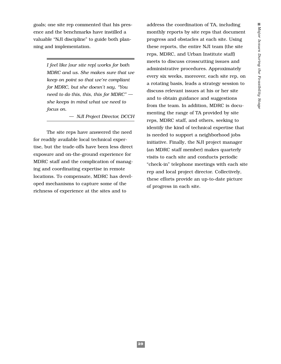goals; one site rep commented that his presence and the benchmarks have instilled a valuable "NJI discipline" to guide both planning and implementation.

> *I feel like [our site rep] works for both MDRC and us. She makes sure that we keep on point so that we're compliant for MDRC, but she doesn't say, "You need to do this, this, this for MDRC" she keeps in mind what we need to focus on.*

> > *— NJI Project Director, DCCH*

The site reps have answered the need for readily available local technical expertise, but the trade-offs have been less direct exposure and on-the-ground experience for MDRC staff and the complication of managing and coordinating expertise in remote locations. To compensate, MDRC has developed mechanisms to capture some of the richness of experience at the sites and to

address the coordination of TA, including monthly reports by site reps that document progress and obstacles at each site. Using these reports, the entire NJI team (the site reps, MDRC, and Urban Institute staff) meets to discuss crosscutting issues and administrative procedures. Approximately every six weeks, moreover, each site rep, on a rotating basis, leads a strategy session to discuss relevant issues at his or her site and to obtain guidance and suggestions from the team. In addition, MDRC is documenting the range of TA provided by site reps, MDRC staff, and others, seeking to identify the kind of technical expertise that is needed to support a neighborhood jobs initiative. Finally, the NJI project manager (an MDRC staff member) makes quarterly visits to each site and conducts periodic "check-in" telephone meetings with each site rep and local project director. Collectively, these efforts provide an up-to-date picture of progress in each site.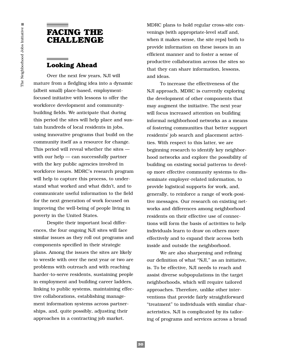# **FACING THE CHALLENGE**

# **Looking Ahead**

Over the next few years, NJI will mature from a fledgling idea into a dynamic (albeit small) place-based, employmentfocused initiative with lessons to offer the workforce development and communitybuilding fields. We anticipate that during this period the sites will help place and sustain hundreds of local residents in jobs, using innovative programs that build on the community itself as a resource for change. This period will reveal whether the sites with our help — can successfully partner with the key public agencies involved in workforce issues. MDRC's research program will help to capture this process, to understand what worked and what didn't, and to communicate useful information to the field for the next generation of work focused on improving the well-being of people living in poverty in the United States.

Despite their important local differences, the four ongoing NJI sites will face similar issues as they roll out programs and components specified in their strategic plans. Among the issues the sites are likely to wrestle with over the next year or two are problems with outreach and with reaching harder-to-serve residents, sustaining people in employment and building career ladders, linking to public systems, maintaining effective collaborations, establishing management information systems across partnerships, and, quite possibly, adjusting their approaches in a contracting job market.

MDRC plans to hold regular cross-site convenings (with appropriate-level staff and, when it makes sense, the site reps) both to provide information on these issues in an efficient manner and to foster a sense of productive collaboration across the sites so that they can share information, lessons, and ideas.

To increase the effectiveness of the NJI approach, MDRC is currently exploring the development of other components that may augment the initiative. The next year will focus increased attention on building informal neighborhood networks as a means of fostering communities that better support residents' job search and placement activities. With respect to this latter, we are beginning research to identify key neighborhood networks and explore the possibility of building on existing social patterns to develop more effective community systems to disseminate employer-related information, to provide logistical supports for work, and, generally, to reinforce a range of work-positive messages. Our research on existing networks and differences among neighborhood residents on their effective use of connections will form the basis of activities to help individuals learn to draw on others more effectively and to expand their access both inside and outside the neighborhood.

We are also sharpening and refining our definition of what "NJI," as an initiative, is. To be effective, NJI needs to reach and assist diverse subpopulations in the target neighborhoods, which will require tailored approaches. Therefore, unlike other interventions that provide fairly straightforward "treatment" to individuals with similar characteristics, NJI is complicated by its tailoring of programs and services across a broad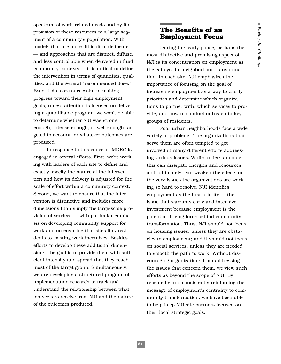spectrum of work-related needs and by its provision of these resources to a large segment of a community's population. With models that are more difficult to delineate — and approaches that are distinct, diffuse, and less controllable when delivered in fluid community contexts — it is critical to define the intervention in terms of quantities, qualities, and the general "recommended dose." Even if sites are successful in making progress toward their high employment goals, unless attention is focused on delivering a quantifiable program, we won't be able to determine whether NJI was strong enough, intense enough, or well enough targeted to account for whatever outcomes are produced.

In response to this concern, MDRC is engaged in several efforts. First, we're working with leaders of each site to define and exactly specify the nature of the intervention and how its delivery is adjusted for the scale of effort within a community context. Second, we want to ensure that the intervention is distinctive and includes more dimensions than simply the large-scale provision of services — with particular emphasis on developing community support for work and on ensuring that sites link residents to existing work incentives. Besides efforts to develop these additional dimensions, the goal is to provide them with sufficient intensity and spread that they reach most of the target group. Simultaneously, we are developing a structured program of implementation research to track and understand the relationship between what job-seekers receive from NJI and the nature of the outcomes produced.

# **The Benefits of an Employment Focus**

During this early phase, perhaps the most distinctive and promising aspect of NJI is its concentration on employment as the catalyst for neighborhood transformation. In each site, NJI emphasizes the importance of focusing on the goal of increasing employment as a way to clarify priorities and determine which organizations to partner with, which services to provide, and how to conduct outreach to key groups of residents.

Poor urban neighborhoods face a wide variety of problems. The organizations that serve them are often tempted to get involved in many different efforts addressing various issues. While understandable, this can dissipate energies and resources and, ultimately, can weaken the effects on the very issues the organizations are working so hard to resolve. NJI identifies employment as the first priority — the issue that warrants early and intensive investment because employment is the potential driving force behind community transformation. Thus, NJI should not focus on housing issues, unless they are obstacles to employment; and it should not focus on social services, unless they are needed to smooth the path to work. Without discouraging organizations from addressing the issues that concern them, we view such efforts as beyond the scope of NJI. By repeatedly and consistently reinforcing the message of employment's centrality to community transformation, we have been able to help keep NJI site partners focused on their local strategic goals.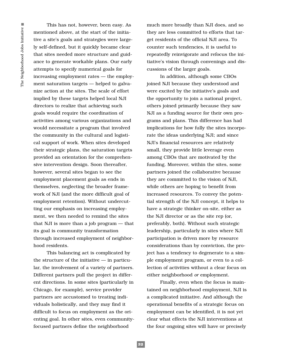This has not, however, been easy. As mentioned above, at the start of the initiative a site's goals and strategies were largely self-defined, but it quickly became clear that sites needed more structure and guidance to generate workable plans. Our early attempts to specify numerical goals for increasing employment rates — the employment saturation targets — helped to galvanize action at the sites. The scale of effort implied by these targets helped local NJI directors to realize that achieving such goals would require the coordination of activities among various organizations and would necessitate a program that involved the community in the cultural and logistical support of work. When sites developed their strategic plans, the saturation targets provided an orientation for the comprehensive intervention design. Soon thereafter, however, several sites began to see the employment placement goals as ends in themselves, neglecting the broader framework of NJI (and the more difficult goal of employment retention). Without undercutting our emphasis on increasing employment, we then needed to remind the sites that NJI is more than a job program — that its goal is community transformation through increased employment of neighborhood residents.

This balancing act is complicated by the structure of the initiative — in particular, the involvement of a variety of partners. Different partners pull the project in different directions. In some sites (particularly in Chicago, for example), service provider partners are accustomed to treating individuals holistically, and they may find it difficult to focus on employment as the orienting goal. In other sites, even communityfocused partners define the neighborhood

much more broadly than NJI does, and so they are less committed to efforts that target residents of the official NJI area. To counter such tendencies, it is useful to repeatedly reinvigorate and refocus the initiative's vision through convenings and discussions of the larger goals.

In addition, although some CBOs joined NJI because they understood and were excited by the initiative's goals and the opportunity to join a national project, others joined primarily because they saw NJI as a funding source for their own programs and plans. This difference has had implications for how fully the sites incorporate the ideas underlying NJI; and since NJI's financial resources are relatively small, they provide little leverage even among CBOs that are motivated by the funding. Moreover, within the sites, some partners joined the collaborative because they are committed to the vision of NJI, while others are hoping to benefit from increased resources. To convey the potential strength of the NJI concept, it helps to have a strategic thinker on-site, either as the NJI director or as the site rep (or, preferably, both). Without such strategic leadership, particularly in sites where NJI participation is driven more by resource considerations than by conviction, the project has a tendency to degenerate to a simple employment program, or even to a collection of activities without a clear focus on either neighborhood *or* employment.

Finally, even when the focus is maintained on neighborhood employment, NJI is a complicated initiative. And although the operational benefits of a strategic focus on employment can be identified, it is not yet clear what effects the NJI interventions at the four ongoing sites will have or precisely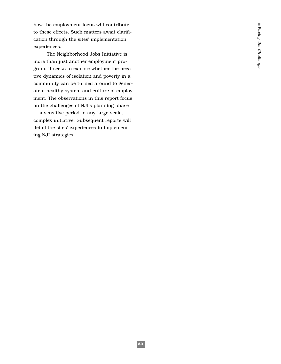how the employment focus will contribute to these effects. Such matters await clarification through the sites' implementation experiences.

The Neighborhood Jobs Initiative is more than just another employment program. It seeks to explore whether the negative dynamics of isolation and poverty in a community can be turned around to generate a healthy system and culture of employment. The observations in this report focus on the challenges of NJI's planning phase — a sensitive period in any large-scale, complex initiative. Subsequent reports will detail the sites' experiences in implementing NJI strategies.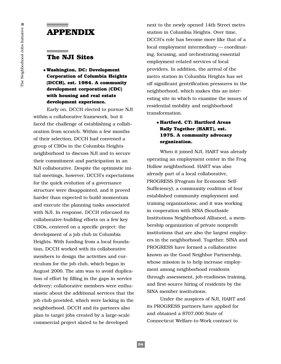# **APPENDIX**

### **The NJI Sites**

### ◆ **Washington, DC: Development Corporation of Columbia Heights (DCCH), est. 1984. A community development corporation (CDC) with housing and real estate development experience.**

Early on, DCCH elected to pursue NJI within a collaborative framework, but it faced the challenge of establishing a collaboration from scratch. Within a few months of their selection, DCCH had convened a group of CBOs in the Columbia Heights neighborhood to discuss NJI and to secure their commitment and participation in an NJI collaborative. Despite the optimistic initial meetings, however, DCCH's expectations for the quick evolution of a governance structure were disappointed, and it proved harder than expected to build momentum and execute the planning tasks associated with NJI. In response, DCCH refocused its collaborative-building efforts on a few key CBOs, centered on a specific project: the development of a job club in Columbia Heights. With funding from a local foundation, DCCH worked with its collaborative members to design the activities and curriculum for the job club, which began in August 2000. The aim was to avoid duplication of effort by filling in the gaps in service delivery; collaborative members were enthusiastic about the additional services that the job club provided, which were lacking in the neighborhood. DCCH and its partners also plan to target jobs created by a large-scale commercial project slated to be developed

next to the newly opened 14th Street metro station in Columbia Heights. Over time, DCCH's role has become more like that of a local employment intermediary — coordinating, focusing, and orchestrating essential employment-related services of local providers. In addition, the arrival of the metro station in Columbia Heights has set off significant gentrification pressures in the neighborhood, which makes this an interesting site in which to examine the issues of residential mobility and neighborhood transformation.

#### ◆ **Hartford, CT: Hartford Areas Rally Together (HART), est. 1975. A community advocacy organization.**

When it joined NJI, HART was already operating an employment center in the Frog Hollow neighborhood. HART was also already part of a local collaborative, PROGRESS (Program for Economic Self-Sufficiency), a community coalition of four established community employment and training organizations; and it was working in cooperation with SINA (Southside Institutions Neighborhood Alliance), a membership organization of private nonprofit institutions that are also the largest employers in the neighborhood. Together, SINA and PROGRESS have formed a collaborative known as the Good Neighbor Partnership, whose mission is to help increase employment among neighborhood residents through assessment, job-readiness training, and first-source hiring of residents by the SINA member institutions.

Under the auspices of NJI, HART and its PROGRESS partners have applied for and obtained a \$707,000 State of Connecticut Welfare-to-Work contract to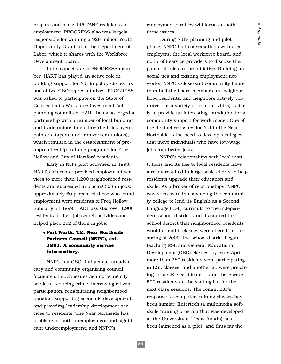prepare and place 145 TANF recipients in employment. PROGRESS also was largely responsible for winning a \$28 million Youth Opportunity Grant from the Department of Labor, which it shares with the Workforce Development Board.

In its capacity as a PROGRESS member, HART has played an active role in building support for NJI in policy circles; as one of two CBO representatives, PROGRESS was asked to participate on the State of Connecticut's Workforce Investment Act planning committee. HART has also forged a partnership with a number of local building and trade unions (including the bricklayers, painters, tapers, and ironworkers unions), which resulted in the establishment of preapprenticeship training programs for Frog Hollow and City of Hartford residents.

Early in NJI's pilot activities, in 1998, HART's job center provided employment services to more than 1,200 neighborhood residents and succeeded in placing 308 in jobs; approximately 60 percent of those who found employment were residents of Frog Hollow. Similarly, in 1999, HART assisted over 1,900 residents in their job search activities and helped place 292 of them in jobs.

### ◆ **Fort Worth, TX: Near Northside Partners Council (NNPC), est. 1991. A community service intermediary.**

NNPC is a CBO that acts as an advocacy and community organizing council, focusing on such issues as improving city services, reducing crime, increasing citizen participation, rehabilitating neighborhood housing, supporting economic development, and providing leadership development services to residents. The Near Northside has problems of both unemployment and significant underemployment, and NNPC's

employment strategy will focus on both these issues.

During NJI's planning and pilot phase, NNPC had conversations with area employers, the local workforce board, and nonprofit service providers to discuss their potential roles in the initiative. Building on social ties and existing employment networks, NNPC's close-knit community (more than half the board members are neighborhood residents, and neighbors actively volunteer for a variety of local activities) is likely to provide an interesting foundation for a community support for work model. One of the distinctive issues for NJI in the Near Northside is the need to develop strategies that move individuals who have low-wage jobs into better jobs.

NNPC's relationships with local institutions and its ties to local residents have already resulted in large-scale efforts to help residents upgrade their education and skills. As a broker of relationships, NNPC was successful in convincing the community college to lend its English as a Second Language (ESL) curricula to the independent school district, and it assured the school district that neighborhood residents would attend if classes were offered. In the spring of 2000, the school district began teaching ESL and General Educational Development (GED) classes; by early April more than 280 residents were participating in ESL classes, and another 25 were preparing for a GED certificate — and there were 500 residents on the waiting list for the next class sessions. The community's response to computer training classes has been similar. Entertech (a multimedia softskills training program that was developed at the University of Texas-Austin) has been launched as a pilot, and thus far the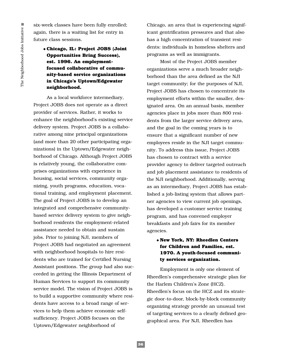six-week classes have been fully enrolled; again, there is a waiting list for entry in future class sessions.

### ◆ **Chicago, IL: Project JOBS (Joint Opportunities Bring Success), est. 1996. An employmentfocused collaborative of community-based service organizations in Chicago's Uptown/Edgewater neighborhood.**

As a local workforce intermediary, Project JOBS does not operate as a direct provider of services. Rather, it works to enhance the neighborhood's existing service delivery system. Project JOBS is a collaborative among nine principal organizations (and more than 20 other participating organizations) in the Uptown/Edgewater neighborhood of Chicago. Although Project JOBS is relatively young, the collaborative comprises organizations with experience in housing, social services, community organizing, youth programs, education, vocational training, and employment placement. The goal of Project JOBS is to develop an integrated and comprehensive communitybased service delivery system to give neighborhood residents the employment-related assistance needed to obtain and sustain jobs. Prior to joining NJI, members of Project JOBS had negotiated an agreement with neighborhood hospitals to hire residents who are trained for Certified Nursing Assistant positions. The group had also succeeded in getting the Illinois Department of Human Services to support its community service model. The vision of Project JOBS is to build a supportive community where residents have access to a broad range of services to help them achieve economic selfsufficiency. Project JOBS focuses on the Uptown/Edgewater neighborhood of

Chicago, an area that is experiencing significant gentrification pressures and that also has a high concentration of transient residents: individuals in homeless shelters and programs as well as immigrants.

Most of the Project JOBS member organizations serve a much broader neighborhood than the area defined as the NJI target community; for the purposes of NJI, Project JOBS has chosen to concentrate its employment efforts within the smaller, designated area. On an annual basis, member agencies place in jobs more than 800 residents from the larger service delivery area, and the goal in the coming years is to ensure that a significant number of new employees reside in the NJI target community. To address this issue, Project JOBS has chosen to contract with a service provider agency to deliver targeted outreach and job placement assistance to residents of the NJI neighborhood. Additionally, serving as an intermediary, Project JOBS has established a job-listing system that allows partner agencies to view current job openings, has developed a customer service training program, and has convened employer breakfasts and job fairs for its member agencies.

#### ◆ **New York, NY: Rheedlen Centers for Children and Families, est. 1970. A youth-focused community services organization.**

Employment is only one element of Rheedlen's comprehensive strategic plan for the Harlem Children's Zone (HCZ). Rheedlen's focus on the HCZ and its strategic door-to-door, block-by-block community organizing strategy provide an unusual test of targeting services to a clearly defined geographical area. For NJI, Rheedlen has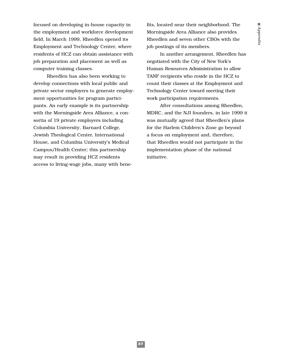focused on developing in-house capacity in the employment and workforce development field. In March 1999, Rheedlen opened its Employment and Technology Center, where residents of HCZ can obtain assistance with job preparation and placement as well as computer training classes.

Rheedlen has also been working to develop connections with local public and private sector employers to generate employment opportunities for program participants. An early example is its partnership with the Morningside Area Alliance, a consortia of 19 private employers including Columbia University, Barnard College, Jewish Theological Center, International House, and Columbia University's Medical Campus/Health Center; this partnership may result in providing HCZ residents access to living-wage jobs, many with bene-

fits, located near their neighborhood. The Morningside Area Alliance also provides Rheedlen and seven other CBOs with the job postings of its members.

In another arrangement, Rheedlen has negotiated with the City of New York's Human Resources Administration to allow TANF recipients who reside in the HCZ to count their classes at the Employment and Technology Center toward meeting their work participation requirements.

After consultations among Rheedlen, MDRC, and the NJI founders, in late 1999 it was mutually agreed that Rheedlen's plans for the Harlem Children's Zone go beyond a focus on employment and, therefore, that Rheedlen would not participate in the implementation phase of the national initiative.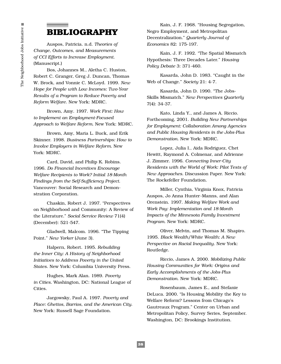# **BIBLIOGRAPHY**

Auspos, Patricia. n.d. *Theories of Change, Outcomes, and Measurements of CCI Efforts to Increase Employment.* (Manuscript.)

Bos, Johannes M., Aletha C. Huston, Robert C. Granger, Greg J. Duncan, Thomas W. Brock, and Vonnie C. McLoyd. 1999. *New Hope for People with Low Incomes: Two-Year Results of a Program to Reduce Poverty and Reform Welfare*. New York: MDRC.

Brown, Amy. 1997. *Work First: How to Implement an Employment-Focused Approach to Welfare Reform.* New York: MDRC.

Brown, Amy, Maria L. Buck, and Erik Skinner. 1998. *Business Partnerships: How to Involve Employers in Welfare Reform.* New York: MDRC.

Card, David, and Philip K. Robins. 1996. *Do Financial Incentives Encourage Welfare Recipients to Work? Initial 18-Month Findings from the Self-Sufficiency Project*. Vancouver: Social Research and Demonstration Corporation.

Chaskin, Robert J. 1997. "Perspectives on Neighborhood and Community: A Review of the Literature." *Social Service Review* 71(4) (December): 521-547.

Gladwell, Malcom. 1996. "The Tipping Point." *New Yorker* (June 3).

Halpern, Robert. 1995*. Rebuilding the Inner City: A History of Neighborhood Initiatives to Address Poverty in the United States*. New York: Columbia University Press.

Hughes, Mark Alan. 1989. *Poverty in Cities.* Washington, DC: National League of Cities.

Jargowsky, Paul A. 1997. *Poverty and Place: Ghettos, Barrios, and the American City*. New York: Russell Sage Foundation.

Kain, J. F. 1968. "Housing Segregation, Negro Employment, and Metropolitan Decentralization." *Quarterly Journal of Economics* 82: 175-197.

Kain, J. F. 1992. "The Spatial Mismatch Hypothesis: Three Decades Later." *Housing Policy Debate* 3: 371-460.

Kasarda, John D. 1983. "Caught in the Web of Change." *Society* 21: 4-7.

Kasarda, John D. 1990. "The Jobs-Skills Mismatch." *New Perspectives Quarterly* 7(4): 34-37.

Kato, Linda Y., and James A. Riccio. Forthcoming, 2001. *Building New Partnerships for Employment: Collaboration Among Agencies and Public Housing Residents in the Jobs-Plus Demonstration.* New York: MDRC.

Lopez, Julia I., Aida Rodriguez, Chet Hewitt, Raymond A. Colmenar, and Adrienne J. Zimmer. 1996. *Connecting Inner-City Residents with the World of Work: Pilot Tests of New Approaches.* Discussion Paper. New York: The Rockefeller Foundation.

Miller, Cynthia, Virginia Knox, Patricia Auspos, Jo Anna Hunter-Manns, and Alan Orenstein. 1997. *Making Welfare Work and Work Pay: Implementation and 18-Month Impacts of the Minnesota Family Investment Program*. New York: MDRC.

Oliver, Melvin, and Thomas M. Shapiro. 1995. *Black Wealth/White Wealth: A New Perspective on Racial Inequality*. New York: Routledge.

Riccio, James A. 2000. *Mobilizing Public Housing Communities for Work: Origins and Early Accomplishments of the Jobs-Plus Demonstration*. New York: MDRC.

Rosenbaum, James E., and Stefanie DeLuca. 2000. "Is Housing Mobility the Key to Welfare Reform? Lessons from Chicago's Gautreaux Program." Center on Urban and Metropolitan Policy, Survey Series, September. Washington, DC: Brookings Institution.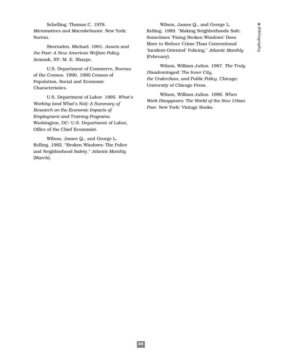Schelling, Thomas C. 1978. *Micromotives and Macrobehavior*. New York: Norton.

Sherraden, Michael. 1991. *Assets and the Poor: A New American Welfare Policy*. Armonk, NY: M. E. Sharpe.

U.S. Department of Commerce, Bureau of the Census. 1990. 1990 Census of Population, Social and Economic Characteristics.

U.S. Department of Labor. 1995. *What's Working (and What's Not): A Summary of Research on the Economic Impacts of Employment and Training Programs*. Washington, DC: U.S. Department of Labor, Office of the Chief Economist.

Wilson, James Q., and George L. Kelling. 1982. "Broken Windows: The Police and Neighborhood Safety." *Atlantic Monthly* (March).

Wilson, James Q., and George L. Kelling. 1989. "Making Neighborhoods Safe: Sometimes 'Fixing Broken Windows' Does More to Reduce Crime Than Conventional 'Incident-Oriented' Policing." *Atlantic Monthly* (February).

Wilson, William Julius. 1987. *The Truly Disadvantaged: The Inner City, the Underclass, and Public Policy*. Chicago: University of Chicago Press.

Wilson, William Julius. 1996. *When Work Disappears: The World of the New Urban Poor*. New York: Vintage Books.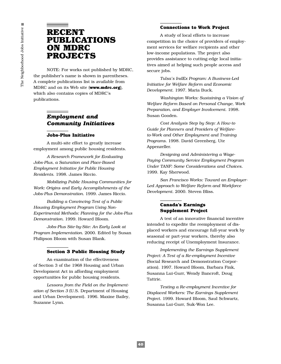# **RECENT PUBLICATIONS ON MDRC PROJECTS**

NOTE: For works not published by MDRC, the publisher's name is shown in parentheses. A complete publications list is available from MDRC and on its Web site (**www.mdrc.org**), which also contains copies of MDRC's publications.

# *Employment and Community Initiatives*

#### **Jobs-Plus Initiative**

A multi-site effort to greatly increase employment among public housing residents.

*A Research Framework for Evaluating Jobs-Plus, a Saturation and Place-Based Employment Initiative for Public Housing Residents*. 1998. James Riccio.

*Mobilizing Public Housing Communities for Work: Origins and Early Accomplishments of the Jobs-Plus Demonstration.* 1999. James Riccio.

*Building a Convincing Test of a Public Housing Employment Program Using Non-Experimental Methods: Planning for the Jobs-Plus Demonstration.* 1999. Howard Bloom.

*Jobs-Plus Site-by-Site: An Early Look at Program Implementation*. 2000. Edited by Susan Philipson Bloom with Susan Blank.

#### **Section 3 Public Housing Study**

An examination of the effectiveness of Section 3 of the 1968 Housing and Urban Development Act in affording employment opportunities for public housing residents.

*Lessons from the Field on the Implementation of Section 3* (U.S. Department of Housing and Urban Development). 1996. Maxine Bailey, Suzanne Lynn.

#### **Connections to Work Project**

A study of local efforts to increase competition in the choice of providers of employment services for welfare recipients and other low-income populations. The project also provides assistance to cutting-edge local initiatives aimed at helping such people access and secure jobs.

*Tulsa's IndEx Program: A Business-Led Initiative for Welfare Reform and Economic Development*. 1997. Maria Buck.

*Washington Works: Sustaining a Vision of Welfare Reform Based on Personal Change, Work Preparation, and Employer Involvement.* 1998. Susan Gooden.

*Cost Analysis Step by Step: A How-to Guide for Planners and Providers of Welfareto-Work and Other Employment and Training Programs.* 1998. David Greenberg, Ute Appenzeller.

*Designing and Administering a Wage-Paying Community Service Employment Program Under TANF: Some Considerations and Choices.* 1999. Kay Sherwood.

*San Francisco Works: Toward an Employer-Led Approach to Welfare Reform and Workforce Development*. 2000. Steven Bliss.

#### **Canada's Earnings Supplement Project**

A test of an innovative financial incentive intended to expedite the reemployment of displaced workers and encourage full-year work by seasonal or part-year workers, thereby also reducing receipt of Unemployment Insurance.

*Implementing the Earnings Supplement Project: A Test of a Re-employment Incentive* (Social Research and Demonstration Corporation). 1997. Howard Bloom, Barbara Fink, Susanna Lui-Gurr, Wendy Bancroft, Doug Tattrie.

*Testing a Re-employment Incentive for Displaced Workers: The Earnings Supplement Project.* 1999. Howard Bloom, Saul Schwartz, Susanna Lui-Gurr, Suk-Won Lee.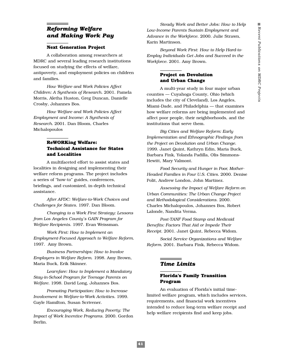# *Reforming Welfare and Making Work Pay*

#### **Next Generation Project**

A collaboration among researchers at MDRC and several leading research institutions focused on studying the effects of welfare, antipoverty, and employment policies on children and families.

*How Welfare and Work Policies Affect Children: A Synthesis of Research.* 2001. Pamela Morris, Aletha Huston, Greg Duncan, Danielle Crosby, Johannes Bos.

*How Welfare and Work Policies Affect Employment and Income: A Synthesis of Research.* 2001. Dan Bloom, Charles Michalopoulos

#### **ReWORKing Welfare: Technical Assistance for States and Localities**

A multifaceted effort to assist states and localities in designing and implementing their welfare reform programs. The project includes a series of "how-to" guides, conferences, briefings, and customized, in-depth technical assistance.

*After AFDC: Welfare-to-Work Choices and Challenges for States.* 1997. Dan Bloom.

*Changing to a Work First Strategy: Lessons from Los Angeles County's GAIN Program for Welfare Recipients*. 1997. Evan Weissman.

*Work First: How to Implement an Employment-Focused Approach to Welfare Reform.* 1997. Amy Brown.

*Business Partnerships: How to Involve Employers in Welfare Reform*. 1998. Amy Brown, Maria Buck, Erik Skinner.

*Learnfare: How to Implement a Mandatory Stay-in-School Program for Teenage Parents on Welfare.* 1998. David Long, Johannes Bos.

*Promoting Participation: How to Increase Involvement in Welfare-to-Work Activities.* 1999. Gayle Hamilton, Susan Scrivener.

*Encouraging Work, Reducing Poverty: The Impact of Work Incentive Programs*. 2000. Gordon Berlin.

*Steady Work and Better Jobs: How to Help Low-Income Parents Sustain Employment and Advance in the Workforce*. 2000. Julie Strawn, Karin Martinson.

*Beyond Work First*: *How to Help Hard-to-Employ Individuals Get Jobs and Succeed in the Workforce.* 2001. Amy Brown.

#### **Project on Devolution and Urban Change**

A multi-year study in four major urban counties — Cuyahoga County, Ohio (which includes the city of Cleveland), Los Angeles, Miami-Dade, and Philadelphia — that examines how welfare reforms are being implemented and affect poor people, their neighborhoods, and the institutions that serve them.

*Big Cities and Welfare Reform: Early Implementation and Ethnographic Findings from the Project on Devolution and Urban Change*. 1999. Janet Quint, Kathryn Edin, Maria Buck, Barbara Fink, Yolanda Padilla, Olis Simmons-Hewitt, Mary Valmont.

*Food Security and Hunger in Poor, Mother-Headed Families in Four U.S. Cities.* 2000. Denise Polit, Andrew London, John Martinez.

*Assessing the Impact of Welfare Reform on Urban Communities: The Urban Change Project and Methodological Considerations*. 2000. Charles Michalopoulos, Johannes Bos, Robert Lalonde, Nandita Verma.

*Post-TANF Food Stamp and Medicaid Benefits: Factors That Aid or Impede Their Receipt*. 2001. Janet Quint, Rebecca Widom.

*Social Service Organizations and Welfare Reform*. 2001. Barbara Fink, Rebecca Widom.

## *Time Limits*

#### **Florida's Family Transition Program**

An evaluation of Florida's initial timelimited welfare program, which includes services, requirements, and financial work incentives intended to reduce long-term welfare receipt and help welfare recipients find and keep jobs.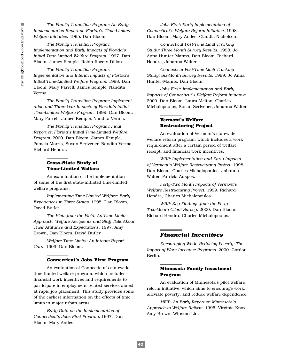*The Family Transition Program: An Early Implementation Report on Florida's Time-Limited Welfare Initiative*. 1995. Dan Bloom.

*The Family Transition Program: Implementation and Early Impacts of Florida's Initial Time-Limited Welfare Program.* 1997. Dan Bloom, James Kemple, Robin Rogers-Dillon.

*The Family Transition Program: Implementation and Interim Impacts of Florida's Initial Time-Limited Welfare Program.* 1998. Dan Bloom, Mary Farrell, James Kemple, Nandita Verma.

*The Family Transition Program: Implementation and Three-Year Impacts of Florida's Initial Time-Limited Welfare Program.* 1999. Dan Bloom, Mary Farrell, James Kemple, Nandita Verma.

*The Family Transition Program: Final Report on Florida's Initial Time-Limited Welfare Program.* 2000. Dan Bloom, James Kemple, Pamela Morris, Susan Scrivener, Nandita Verma, Richard Hendra.

#### **Cross-State Study of Time-Limited Welfare**

An examination of the implementation of some of the first state-initiated time-limited welfare programs.

*Implementing Time-Limited Welfare: Early Experiences in Three States.* 1995. Dan Bloom, David Butler.

*The View from the Field: As Time Limits Approach, Welfare Recipients and Staff Talk About Their Attitudes and Expectations*. 1997. Amy Brown, Dan Bloom, David Butler.

*Welfare Time Limits: An Interim Report Card.* 1999. Dan Bloom.

#### **Connecticut's Jobs First Program**

An evaluation of Connecticut's statewide time-limited welfare program, which includes financial work incentives and requirements to participate in employment-related services aimed at rapid job placement. This study provides some of the earliest information on the effects of time limits in major urban areas.

*Early Data on the Implementation of Connecticut's Jobs First Program.* 1997. Dan Bloom, Mary Andes*.*

*Jobs First: Early Implementation of Connecticut's Welfare Reform Initiative*. 1998. Dan Bloom, Mary Andes, Claudia Nicholson.

*Connecticut Post-Time Limit Tracking Study: Three-Month Survey Results.* 1998. Jo Anna Hunter-Manns, Dan Bloom, Richard Hendra, Johanna Walter.

*Connecticut Post-Time Limit Tracking Study: Six-Month Survey Results.* 1999. Jo Anna Hunter-Manns, Dan Bloom.

*Jobs First*: *Implementation and Early Impacts of Connecticut's Welfare Reform Initiative*. 2000. Dan Bloom, Laura Melton, Charles Michalopoulos, Susan Scrivener, Johanna Walter.

#### **Vermont's Welfare Restructuring Project**

An evaluation of Vermont's statewide welfare reform program, which includes a work requirement after a certain period of welfare receipt, and financial work incentives.

*WRP: Implementation and Early Impacts of Vermont's Welfare Restructuring Project.* 1998. Dan Bloom, Charles Michalopoulos, Johanna Walter, Patricia Auspos.

*Forty-Two Month Impacts of Vermont's Welfare Restructuring Project.* 1999. Richard Hendra, Charles Michalopoulos.

*WRP: Key Findings from the Forty-Two-Month Client Survey*. 2000. Dan Bloom, Richard Hendra, Charles Michalopoulos.

#### *Financial Incentives*

*Encouraging Work, Reducing Poverty: The Impact of Work Incentive Programs*. 2000. Gordon Berlin.

#### **Minnesota Family Investment Program**

An evaluation of Minnesota's pilot welfare reform initiative, which aims to encourage work, alleviate poverty, and reduce welfare dependence.

*MFIP: An Early Report on Minnesota's Approach to Welfare Reform.* 1995. Virginia Knox, Amy Brown, Winston Lin.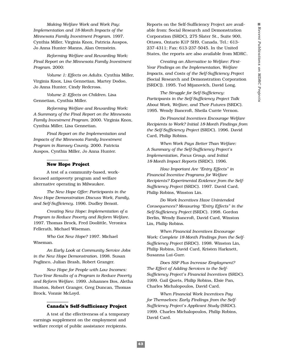*Making Welfare Work and Work Pay: Implementation and 18-Month Impacts of the Minnesota Family Investment Program*. 1997. Cynthia Miller, Virginia Knox, Patricia Auspos, Jo Anna Hunter-Manns, Alan Orenstein.

*Reforming Welfare and Rewarding Work: Final Report on the Minnesota Family Investment Program*. 2000:

*Volume 1: Effects on Adults*. Cynthia Miller, Virginia Knox, Lisa Gennetian, Martey Dodoo, Jo Anna Hunter, Cindy Redcross.

*Volume 2: Effects on Children.* Lisa Gennetian, Cynthia Miller.

*Reforming Welfare and Rewarding Work: A Summary of the Final Report on the Minnesota Family Investment Program*. 2000. Virginia Knox, Cynthia Miller, Lisa Gennetian.

*Final Report on the Implementation and Impacts of the Minnesota Family Investment Program in Ramsey County*. 2000. Patricia Auspos, Cynthia Miller, Jo Anna Hunter.

#### **New Hope Project**

A test of a community-based, workfocused antipoverty program and welfare alternative operating in Milwaukee.

*The New Hope Offer: Participants in the New Hope Demonstration Discuss Work, Family, and Self-Sufficiency.* 1996. Dudley Benoit.

*Creating New Hope: Implementation of a Program to Reduce Poverty and Reform Welfare.* 1997. Thomas Brock, Fred Doolittle, Veronica Fellerath, Michael Wiseman.

*Who Got New Hope?* 1997. Michael Wiseman.

*An Early Look at Community Service Jobs in the New Hope Demonstration.* 1998. Susan Poglinco, Julian Brash, Robert Granger.

*New Hope for People with Low Incomes: Two-Year Results of a Program to Reduce Poverty and Reform Welfare.* 1999. Johannes Bos, Aletha Huston, Robert Granger, Greg Duncan, Thomas Brock, Vonnie McLoyd.

#### **Canada's Self-Sufficiency Project**

A test of the effectiveness of a temporary earnings supplement on the employment and welfare receipt of public assistance recipients.

Reports on the Self-Sufficiency Project are available from: Social Research and Demonstration Corporation (SRDC), 275 Slater St., Suite 900, Ottawa, Ontario K1P 5H9, Canada. Tel.: 613- 237-4311; Fax: 613-237-5045. In the United States, the reports are also available from MDRC.

*Creating an Alternative to Welfare: First-Year Findings on the Implementation, Welfare Impacts, and Costs of the Self-Sufficiency Project* (Social Research and Demonstration Corporation [SRDC]). 1995. Tod Mijanovich, David Long.

*The Struggle for Self-Sufficiency: Participants in the Self-Sufficiency Project Talk About Work, Welfare, and Their Futures* (SRDC). 1995. Wendy Bancroft, Sheila Currie Vernon.

*Do Financial Incentives Encourage Welfare Recipients to Work? Initial 18-Month Findings from the Self-Sufficiency Project* (SRDC). 1996. David Card, Philip Robins.

*When Work Pays Better Than Welfare: A Summary of the Self-Sufficiency Project's Implementation, Focus Group, and Initial 18-Month Impact Reports* (SRDC). 1996.

*How Important Are "Entry Effects" in Financial Incentive Programs for Welfare Recipients? Experimental Evidence from the Self-Sufficiency Project* (SRDC). 1997. David Card, Philip Robins, Winston Lin.

*Do Work Incentives Have Unintended Consequences? Measuring "Entry Effects" in the Self-Sufficiency Project* (SRDC)*.* 1998. Gordon Berlin, Wendy Bancroft, David Card, Winston Lin, Philip Robins.

*When Financial Incentives Encourage Work: Complete 18-Month Findings from the Self-Sufficiency Project* (SRDC). 1998. Winston Lin, Philip Robins, David Card, Kristen Harknett, Susanna Lui-Gurr.

*Does SSP Plus Increase Employment? The Effect of Adding Services to the Self-Sufficiency Project's Financial Incentives* (SRDC). 1999. Gail Quets, Philip Robins, Elsie Pan, Charles Michalopoulos, David Card.

*When Financial Work Incentives Pay for Themselves: Early Findings from the Self-Sufficiency Project's Applicant Study* (SRDC). 1999. Charles Michalopoulos, Philip Robins, David Card.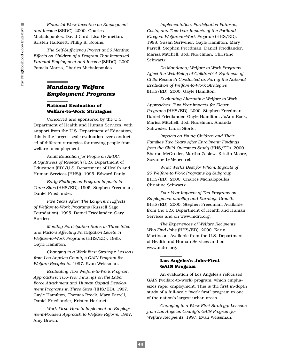*Financial Work Incentive on Employment and Income* (SRDC). 2000. Charles Michalopoulos, David Card, Lisa Gennetian, Kristen Harknett, Philip K. Robins.

*The Self-Sufficiency Project at 36 Months: Effects on Children of a Program That Increased Parental Employment and Income* (SRDC). 2000. Pamela Morris, Charles Michalopoulos.

# *Mandatory Welfare Employment Programs*

#### **National Evaluation of Welfare-to-Work Strategies**

Conceived and sponsored by the U.S. Department of Health and Human Services, with support from the U.S. Department of Education, this is the largest-scale evaluation ever conducted of different strategies for moving people from welfare to employment.

*Adult Education for People on AFDC: A Synthesis of Research* (U.S. Department of Education [ED]/U.S. Department of Health and Human Services [HHS]). 1995. Edward Pauly.

*Early Findings on Program Impacts in Three Sites* (HHS/ED)*.* 1995. Stephen Freedman, Daniel Friedlander.

*Five Years After: The Long-Term Effects of Welfare-to-Work Programs* (Russell Sage Foundation). 1995. Daniel Friedlander, Gary Burtless.

*Monthly Participation Rates in Three Sites and Factors Affecting Participation Levels in Welfare-to-Work Programs* (HHS/ED). 1995. Gayle Hamilton.

*Changing to a Work First Strategy: Lessons from Los Angeles County's GAIN Program for Welfare Recipients.* 1997*.* Evan Weissman.

*Evaluating Two Welfare-to-Work Program Approaches: Two-Year Findings on the Labor Force Attachment and Human Capital Development Programs in Three Sites* (HHS/ED). 1997. Gayle Hamilton, Thomas Brock, Mary Farrell, Daniel Friedlander, Kristen Harknett.

*Work First: How to Implement an Employment-Focused Approach to Welfare Reform.* 1997. Amy Brown.

*Implementation, Participation Patterns, Costs, and Two-Year Impacts of the Portland (Oregon) Welfare-to-Work Program* (HHS/ED). 1998. Susan Scrivener, Gayle Hamilton, Mary Farrell, Stephen Freedman, Daniel Friedlander, Marisa Mitchell, Jodi Nudelman, Christine Schwartz.

*Do Mandatory Welfare-to-Work Programs Affect the Well-Being of Children? A Synthesis of Child Research Conducted as Part of the National Evaluation of Welfare-to-Work Strategies* (HHS/ED). 2000. Gayle Hamilton.

*Evaluating Alternative Welfare-to-Work Approaches: Two-Year Impacts for Eleven Programs* (HHS/ED). 2000. Stephen Freedman, Daniel Friedlander, Gayle Hamilton, JoAnn Rock, Marisa Mitchell, Jodi Nudelman, Amanda Schweder, Laura Storto.

*Impacts on Young Children and Their Families Two Years After Enrollment: Findings from the Child Outcomes Study* (HHS/ED). 2000. Sharon McGroder, Martha Zaslow, Kristin Moore, Suzanne LeMenestrel.

*What Works Best for Whom: Impacts of 20 Welfare-to-Work Programs by Subgroup* (HHS/ED). 2000. Charles Michalopoulos, Christine Schwartz.

*Four Year Impacts of Ten Programs on Employment stability and Earnings Growth*. (HHS/ED). 2000. Stephen Freedman. Available from the U.S. Department of Health and Human Services and on www.mdrc.org.

*The Experiences of Welfare Recipients Who Find Jobs* (HHS/ED). 2000. Karin Martinson. Available from the U.S. Department of Health and Human Services and on www.mdrc.org.

#### **Los Angeles's Jobs-First GAIN Program**

An evaluation of Los Angeles's refocused GAIN (welfare-to-work) program, which emphasizes rapid employment. This is the first in-depth study of a full-scale "work first" program in one of the nation's largest urban areas.

*Changing to a Work First Strategy: Lessons from Los Angeles County's GAIN Program for Welfare Recipients.* 1997. Evan Weissman.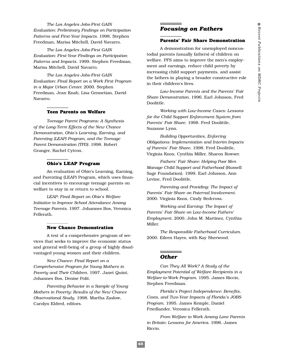*The Los Angeles Jobs-First GAIN Evaluation: Preliminary Findings on Participation Patterns and First-Year Impacts.* 1998. Stephen Freedman, Marisa Mitchell, David Navarro.

*The Los Angeles Jobs-First GAIN Evaluation: First-Year Findings on Participation Patterns and Impacts.* 1999. Stephen Freedman, Marisa Mitchell, David Navarro.

*The Los Angeles Jobs-First GAIN Evaluation: Final Report on a Work First Program in a Major Urban Center.* 2000. Stephen Freedman, Jean Knab, Lisa Gennetian, David Navarro.

#### **Teen Parents on Welfare**

*Teenage Parent Programs: A Synthesis of the Long-Term Effects of the New Chance Demonstration, Ohio's Learning, Earning, and Parenting (LEAP) Program, and the Teenage Parent Demonstration (TPD).* 1998. Robert Granger, Rachel Cytron.

#### **Ohio's LEAP Program**

An evaluation of Ohio's Learning, Earning, and Parenting (LEAP) Program, which uses financial incentives to encourage teenage parents on welfare to stay in or return to school.

*LEAP: Final Report on Ohio's Welfare Initiative to Improve School Attendance Among Teenage Parents.* 1997. Johannes Bos, Veronica Fellerath*.*

#### **New Chance Demonstration**

A test of a comprehensive program of services that seeks to improve the economic status and general well-being of a group of highly disadvantaged young women and their children.

*New Chance: Final Report on a Comprehensive Program for Young Mothers in Poverty and Their Children.* 1997. Janet Quint, Johannes Bos, Denise Polit.

*Parenting Behavior in a Sample of Young Mothers in Poverty: Results of the New Chance Observational Study*. 1998. Martha Zaslow, Carolyn Eldred, editors.

#### *Focusing on Fathers*

#### **Parents' Fair Share Demonstration**

A demonstration for unemployed noncustodial parents (usually fathers) of children on welfare. PFS aims to improve the men's employment and earnings, reduce child poverty by increasing child support payments, and assist the fathers in playing a broader constructive role in their children's lives.

*Low-Income Parents and the Parents' Fair Share Demonstration.* 1996. Earl Johnson, Fred Doolittle.

*Working with Low-Income Cases: Lessons for the Child Support Enforcement System from Parents' Fair Share*. 1998. Fred Doolittle, Suzanne Lynn.

*Building Opportunities, Enforcing Obligations: Implementation and Interim Impacts of Parents' Fair Share*. 1998. Fred Doolittle, Virginia Knox, Cynthia Miller, Sharon Rowser.

*Fathers' Fair Share: Helping Poor Men Manage Child Support and Fatherhood* (Russell Sage Foundation). 1999. Earl Johnson, Ann Levine, Fred Doolittle.

*Parenting and Providing: The Impact of Parents' Fair Share on Paternal Involvement*. 2000. Virginia Knox, Cindy Redcross.

*Working and Earning*: *The Impact of Parents' Fair Share on Low-Income Fathers' Employment.* 2000. John M. Martinez, Cynthia Miller.

*The Responsible Fatherhood Curriculum*. 2000. Eileen Hayes, with Kay Sherwood.

#### *Other*

*Can They All Work? A Study of the Employment Potential of Welfare Recipients in a Welfare-to-Work Program.* 1995. James Riccio, Stephen Freedman.

*Florida's Project Independence: Benefits, Costs, and Two-Year Impacts of Florida's JOBS Program*. 1995. James Kemple, Daniel Friedlander, Veronica Fellerath.

*From Welfare to Work Among Lone Parents in Britain: Lessons for America.* 1996. James Riccio.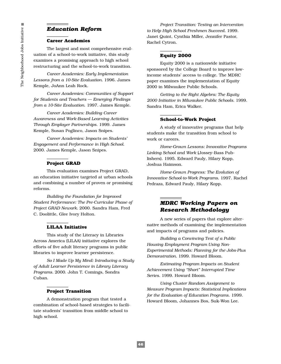# *Education Reform*

#### **Career Academies**

The largest and most comprehensive evaluation of a school-to-work initiative, this study examines a promising approach to high school restructuring and the school-to-work transition.

*Career Academies: Early Implementation Lessons from a 10-Site Evaluation.* 1996. James Kemple, JoAnn Leah Rock.

*Career Academies: Communities of Support for Students and Teachers — Emerging Findings from a 10-Site Evaluation*. 1997. James Kemple.

*Career Academies: Building Career Awareness and Work-Based Learning Activities Through Employer Partnerships*. 1999. James Kemple, Susan Poglinco, Jason Snipes.

*Career Academies: Impacts on Students' Engagement and Performance in High School*. 2000. James Kemple, Jason Snipes.

#### **Project GRAD**

This evaluation examines Project GRAD, an education initiative targeted at urban schools and combining a number of proven or promising reforms.

*Building the Foundation for Improved Student Performance: The Pre-Curricular Phase of Project GRAD Newark.* 2000. Sandra Ham, Fred C. Doolittle, Glee Ivory Holton.

#### **LILAA Initiative**

This study of the Literacy in Libraries Across America (LILAA) initiative explores the efforts of five adult literacy programs in public libraries to improve learner persistence.

*So I Made Up My Mind: Introducing a Study of Adult Learner Persistence in Library Literacy Programs.* 2000. John T. Comings, Sondra Cuban.

#### **Project Transition**

A demonstration program that tested a combination of school-based strategies to facilitate students' transition from middle school to high school.

*Project Transition: Testing an Intervention to Help High School Freshmen Succeed.* 1999*.* Janet Quint, Cynthia Miller, Jennifer Pastor, Rachel Cytron.

#### **Equity 2000**

Equity 2000 is a nationwide initiative sponsored by the College Board to improve lowincome students' access to college. The MDRC paper examines the implementation of Equity 2000 in Milwaukee Public Schools.

*Getting to the Right Algebra: The Equity 2000 Initiative in Milwaukee Public Schools.* 1999. Sandra Ham, Erica Walker.

#### **School-to-Work Project**

A study of innovative programs that help students make the transition from school to work or careers.

*Home-Grown Lessons: Innovative Programs Linking School and Work* (Jossey-Bass Publishers). 1995. Edward Pauly, Hilary Kopp, Joshua Haimson.

*Home-Grown Progress: The Evolution of Innovative School-to-Work Programs.* 1997. Rachel Pedraza, Edward Pauly, Hilary Kopp.

### *MDRC Working Papers on Research Methodology*

A new series of papers that explore alternative methods of examining the implementation and impacts of programs and policies.

*Building a Convincing Test of a Public Housing Employment Program Using Non-Experimental Methods: Planning for the Jobs-Plus Demonstration.* 1999. Howard Bloom.

*Estimating Program Impacts on Student Achievement Using "Short" Interrupted Time Series.* 1999. Howard Bloom.

*Using Cluster Random Assignment to Measure Program Impacts: Statistical Implications for the Evaluation of Education Programs*. 1999. Howard Bloom, Johannes Bos, Suk-Won Lee.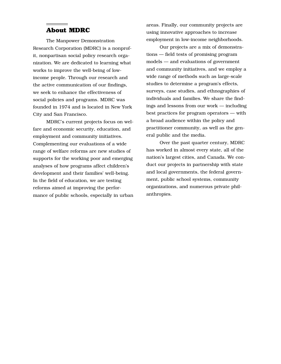# **About MDRC**

The Manpower Demonstration Research Corporation (MDRC) is a nonprofit, nonpartisan social policy research organization. We are dedicated to learning what works to improve the well-being of lowincome people. Through our research and the active communication of our findings, we seek to enhance the effectiveness of social policies and programs. MDRC was founded in 1974 and is located in New York City and San Francisco.

MDRC's current projects focus on welfare and economic security, education, and employment and community initiatives. Complementing our evaluations of a wide range of welfare reforms are new studies of supports for the working poor and emerging analyses of how programs affect children's development and their families' well-being. In the field of education, we are testing reforms aimed at improving the performance of public schools, especially in urban areas. Finally, our community projects are using innovative approaches to increase employment in low-income neighborhoods.

Our projects are a mix of demonstrations — field tests of promising program models — and evaluations of government and community initiatives, and we employ a wide range of methods such as large-scale studies to determine a program's effects, surveys, case studies, and ethnographies of individuals and families. We share the findings and lessons from our work — including best practices for program operators — with a broad audience within the policy and practitioner community, as well as the general public and the media.

Over the past quarter century, MDRC has worked in almost every state, all of the nation's largest cities, and Canada. We conduct our projects in partnership with state and local governments, the federal government, public school systems, community organizations, and numerous private philanthropies.